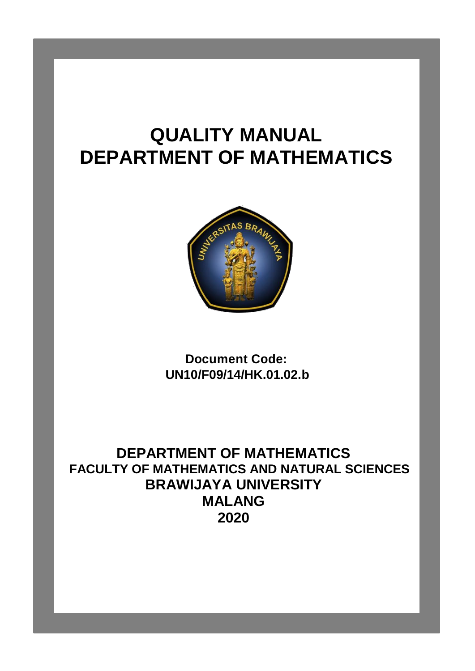# **QUALITY MANUAL DEPARTMENT OF MATHEMATICS**



**Document Code: UN10/F09/14/HK.01.02.b**

**DEPARTMENT OF MATHEMATICS FACULTY OF MATHEMATICS AND NATURAL SCIENCES BRAWIJAYA UNIVERSITY MALANG 2020**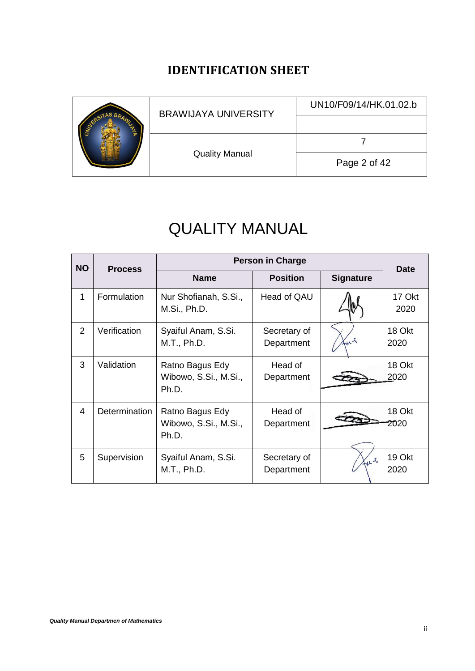# **IDENTIFICATION SHEET**

<span id="page-1-0"></span>

|  | <b>BRAWIJAYA UNIVERSITY</b> | UN10/F09/14/HK.01.02.b |
|--|-----------------------------|------------------------|
|  |                             |                        |
|  |                             |                        |
|  | <b>Quality Manual</b>       | Page 2 of 42           |

# QUALITY MANUAL

| <b>NO</b>      | <b>Process</b> | <b>Person in Charge</b>                           |                            |                  | <b>Date</b>    |
|----------------|----------------|---------------------------------------------------|----------------------------|------------------|----------------|
|                |                | <b>Name</b>                                       | <b>Position</b>            | <b>Signature</b> |                |
| 1              | Formulation    | Nur Shofianah, S.Si.,<br>M.Si., Ph.D.             | Head of QAU                |                  | 17 Okt<br>2020 |
| $\overline{2}$ | Verification   | Syaiful Anam, S.Si.<br>M.T., Ph.D.                | Secretary of<br>Department | Kur              | 18 Okt<br>2020 |
| 3              | Validation     | Ratno Bagus Edy<br>Wibowo, S.Si., M.Si.,<br>Ph.D. | Head of<br>Department      |                  | 18 Okt<br>2020 |
| 4              | Determination  | Ratno Bagus Edy<br>Wibowo, S.Si., M.Si.,<br>Ph.D. | Head of<br>Department      |                  | 18 Okt<br>2020 |
| 5              | Supervision    | Syaiful Anam, S.Si.<br>M.T., Ph.D.                | Secretary of<br>Department | fut              | 19 Okt<br>2020 |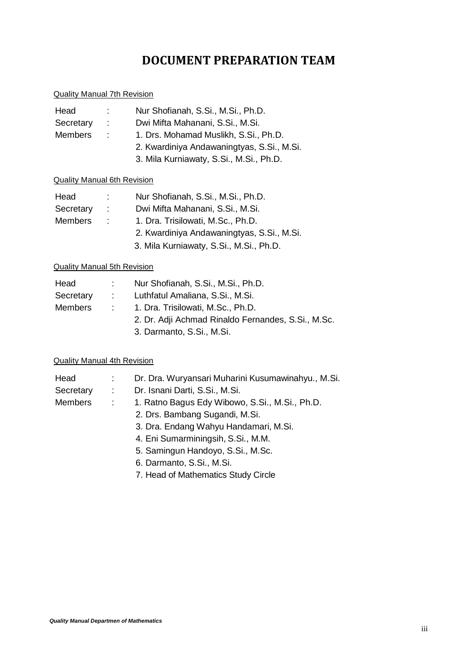# **DOCUMENT PREPARATION TEAM**

#### <span id="page-2-0"></span>Quality Manual 7th Revision

| Head           | ÷. | Nur Shofianah, S.Si., M.Si., Ph.D.         |
|----------------|----|--------------------------------------------|
| Secretary      | ÷. | Dwi Mifta Mahanani, S.Si., M.Si.           |
| <b>Members</b> | ÷. | 1. Drs. Mohamad Muslikh, S.Si., Ph.D.      |
|                |    | 2. Kwardiniya Andawaningtyas, S.Si., M.Si. |
|                |    | 3. Mila Kurniawaty, S.Si., M.Si., Ph.D.    |

#### Quality Manual 6th Revision

| Head           | ÷. | Nur Shofianah, S.Si., M.Si., Ph.D.         |
|----------------|----|--------------------------------------------|
| Secretary      | ÷. | Dwi Mifta Mahanani, S.Si., M.Si.           |
| <b>Members</b> | ÷. | 1. Dra. Trisilowati, M.Sc., Ph.D.          |
|                |    | 2. Kwardiniya Andawaningtyas, S.Si., M.Si. |
|                |    | 3. Mila Kurniawaty, S.Si., M.Si., Ph.D.    |

#### Quality Manual 5th Revision

| Head           |                                                     | Nur Shofianah, S.Si., M.Si., Ph.D.                 |
|----------------|-----------------------------------------------------|----------------------------------------------------|
| Secretary      | $\sim 1000$ m $^{-1}$                               | Luthfatul Amaliana, S.Si., M.Si.                   |
| <b>Members</b> | 1. Dra. Trisilowati, M.Sc., Ph.D.<br><b>COLLEGE</b> |                                                    |
|                |                                                     | 2. Dr. Adji Achmad Rinaldo Fernandes, S.Si., M.Sc. |
|                |                                                     | 3. Darmanto, S.Si., M.Si.                          |

#### Quality Manual 4th Revision

| Head           | $\mathcal{L}_{\mathrm{max}}$ | Dr. Dra. Wuryansari Muharini Kusumawinahyu., M.Si. |
|----------------|------------------------------|----------------------------------------------------|
| Secretary      | $\sim 100$                   | Dr. Isnani Darti, S.Si., M.Si.                     |
| <b>Members</b> | $\sim 10^{-1}$               | 1. Ratno Bagus Edy Wibowo, S.Si., M.Si., Ph.D.     |
|                |                              | 2. Drs. Bambang Sugandi, M.Si.                     |
|                |                              | 3. Dra. Endang Wahyu Handamari, M.Si.              |
|                |                              | 4. Eni Sumarminingsih, S.Si., M.M.                 |
|                |                              | 5. Samingun Handoyo, S.Si., M.Sc.                  |
|                |                              | 6. Darmanto, S.Si., M.Si.                          |

7. Head of Mathematics Study Circle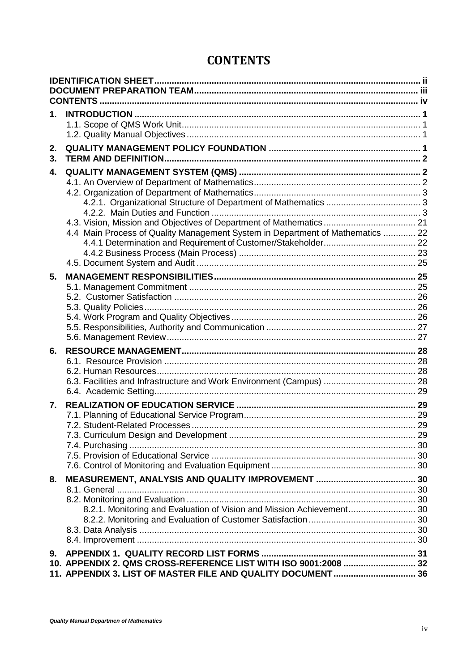# **CONTENTS**

<span id="page-3-0"></span>

| 1.       |                                                                                                                                |  |
|----------|--------------------------------------------------------------------------------------------------------------------------------|--|
| 2.<br>3. |                                                                                                                                |  |
| 4.       | 4.4 Main Process of Quality Management System in Department of Mathematics  22                                                 |  |
| 5.       |                                                                                                                                |  |
| 6.       | 6.3. Facilities and Infrastructure and Work Environment (Campus)  28                                                           |  |
| 7.       |                                                                                                                                |  |
| 8.       | 8.2.1. Monitoring and Evaluation of Vision and Mission Achievement 30                                                          |  |
| 9.       | 10. APPENDIX 2. QMS CROSS-REFERENCE LIST WITH ISO 9001:2008  32<br>11. APPENDIX 3. LIST OF MASTER FILE AND QUALITY DOCUMENT 36 |  |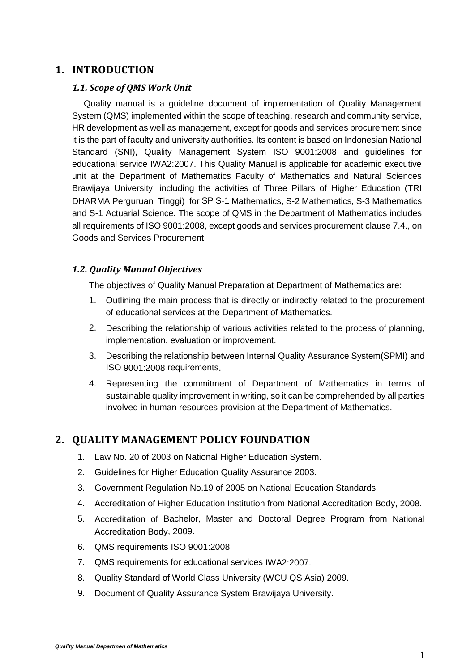# <span id="page-4-1"></span><span id="page-4-0"></span>**1. INTRODUCTION**

#### *1.1. Scope of QMS Work Unit*

Quality manual is a guideline document of implementation of Quality Management System (QMS) implemented within the scope of teaching, research and community service, HR development as well as management, except for goods and services procurement since it is the part of faculty and university authorities. Its content is based on Indonesian National Standard (SNI), Quality Management System ISO 9001:2008 and guidelines for educational service IWA2:2007. This Quality Manual is applicable for academic executive unit at the Department of Mathematics Faculty of Mathematics and Natural Sciences Brawijaya University, including the activities of Three Pillars of Higher Education (TRI DHARMA Perguruan Tinggi) for SP S-1 Mathematics, S-2 Mathematics, S-3 Mathematics and S-1 Actuarial Science. The scope of QMS in the Department of Mathematics includes all requirements of ISO 9001:2008, except goods and services procurement clause 7.4., on Goods and Services Procurement.

# <span id="page-4-2"></span>*1.2. Quality Manual Objectives*

The objectives of Quality Manual Preparation at Department of Mathematics are:

- 1. Outlining the main process that is directly or indirectly related to the procurement of educational services at the Department of Mathematics.
- 2. Describing the relationship of various activities related to the process of planning, implementation, evaluation or improvement.
- 3. Describing the relationship between Internal Quality Assurance System(SPMI) and ISO 9001:2008 requirements.
- 4. Representing the commitment of Department of Mathematics in terms of sustainable quality improvement in writing, so it can be comprehended by all parties involved in human resources provision at the Department of Mathematics.

# <span id="page-4-3"></span>**2. QUALITY MANAGEMENT POLICY FOUNDATION**

- 1. Law No. 20 of 2003 on National Higher Education System.
- 2. Guidelines for Higher Education Quality Assurance 2003.
- 3. Government Regulation No.19 of 2005 on National Education Standards.
- 4. Accreditation of Higher Education Institution from National Accreditation Body, 2008.
- 5. Accreditation of Bachelor, Master and Doctoral Degree Program from National Accreditation Body, 2009.
- 6. QMS requirements ISO 9001:2008.
- 7. QMS requirements for educational services IWA2:2007.
- 8. Quality Standard of World Class University (WCU QS Asia) 2009.
- 9. Document of Quality Assurance System Brawijaya University.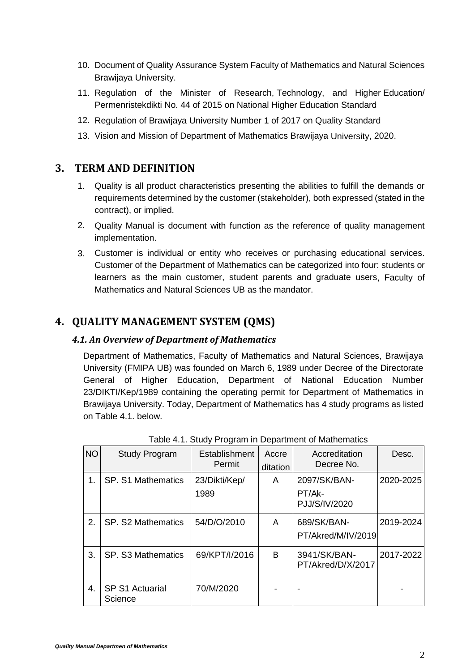- 10. Document of Quality Assurance System Faculty of Mathematics and Natural Sciences Brawijaya University.
- 11. Regulation of the Minister of Research, Technology, and Higher Education/ Permenristekdikti No. 44 of 2015 on National Higher Education Standard
- 12. Regulation of Brawijaya University Number 1 of 2017 on Quality Standard
- 13. Vision and Mission of Department of Mathematics Brawijaya University, 2020.

# <span id="page-5-0"></span>**3. TERM AND DEFINITION**

- 1. Quality is all product characteristics presenting the abilities to fulfill the demands or requirements determined by the customer (stakeholder), both expressed (stated in the contract), or implied.
- 2. Quality Manual is document with function as the reference of quality management implementation.
- 3. Customer is individual or entity who receives or purchasing educational services. Customer of the Department of Mathematics can be categorized into four: students or learners as the main customer, student parents and graduate users, Faculty of Mathematics and Natural Sciences UB as the mandator.

# <span id="page-5-2"></span><span id="page-5-1"></span>**4. QUALITY MANAGEMENT SYSTEM (QMS)**

# *4.1. An Overview of Department of Mathematics*

Department of Mathematics, Faculty of Mathematics and Natural Sciences, Brawijaya University (FMIPA UB) was founded on March 6, 1989 under Decree of the Directorate General of Higher Education, Department of National Education Number 23/DIKTI/Kep/1989 containing the operating permit for Department of Mathematics in Brawijaya University. Today, Department of Mathematics has 4 study programs as listed on Table 4.1. below.

| <b>NO</b> | <b>Study Program</b>              | Establishment<br>Permit | Accre<br>ditation | Accreditation<br>Decree No.             | Desc.     |
|-----------|-----------------------------------|-------------------------|-------------------|-----------------------------------------|-----------|
| 1.        | <b>SP. S1 Mathematics</b>         | 23/Dikti/Kep/<br>1989   | A                 | 2097/SK/BAN-<br>PT/Ak-<br>PJJ/S/IV/2020 | 2020-2025 |
| 2.        | SP. S2 Mathematics                | 54/D/O/2010             | A                 | 689/SK/BAN-<br>PT/Akred/M/IV/2019       | 2019-2024 |
| 3.        | SP. S3 Mathematics                | 69/KPT/I/2016           | B                 | 3941/SK/BAN-<br>PT/Akred/D/X/2017       | 2017-2022 |
| 4.        | <b>SP S1 Actuarial</b><br>Science | 70/M/2020               |                   |                                         |           |

Table 4.1. Study Program in Department of Mathematics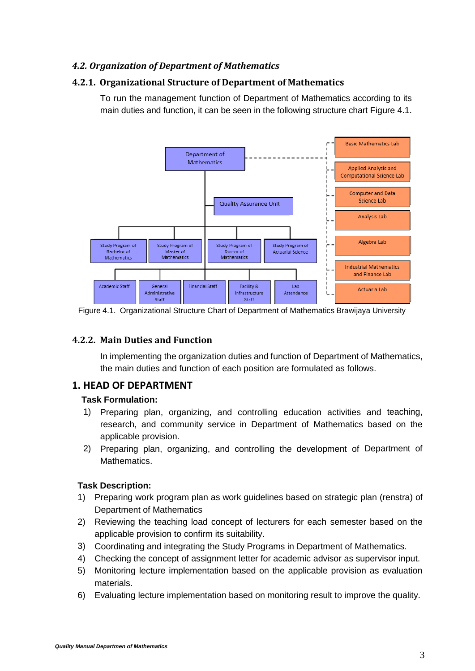# <span id="page-6-0"></span>*4.2. Organization of Department of Mathematics*

# <span id="page-6-1"></span>**4.2.1. Organizational Structure of Department of Mathematics**

To run the management function of Department of Mathematics according to its main duties and function, it can be seen in the following structure chart Figure 4.1.



Figure 4.1. Organizational Structure Chart of Department of Mathematics Brawijaya University

# <span id="page-6-2"></span>**4.2.2. Main Duties and Function**

In implementing the organization duties and function of Department of Mathematics, the main duties and function of each position are formulated as follows.

# **1. HEAD OF DEPARTMENT**

#### **Task Formulation:**

- 1) Preparing plan, organizing, and controlling education activities and teaching, research, and community service in Department of Mathematics based on the applicable provision.
- 2) Preparing plan, organizing, and controlling the development of Department of Mathematics.

- 1) Preparing work program plan as work guidelines based on strategic plan (renstra) of Department of Mathematics
- 2) Reviewing the teaching load concept of lecturers for each semester based on the applicable provision to confirm its suitability.
- 3) Coordinating and integrating the Study Programs in Department of Mathematics.
- 4) Checking the concept of assignment letter for academic advisor as supervisor input.
- 5) Monitoring lecture implementation based on the applicable provision as evaluation materials.
- 6) Evaluating lecture implementation based on monitoring result to improve the quality.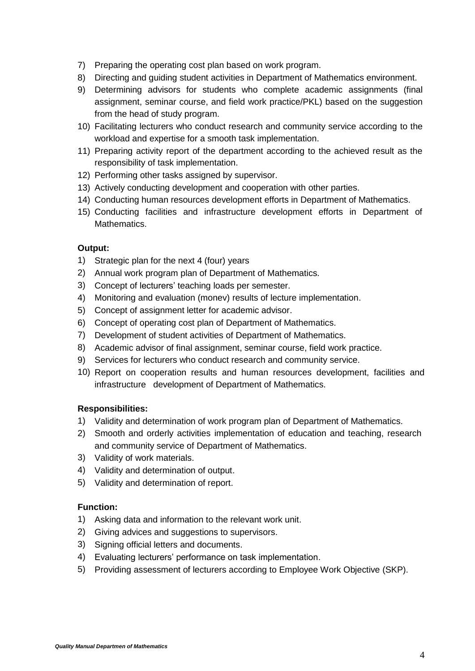- 7) Preparing the operating cost plan based on work program.
- 8) Directing and guiding student activities in Department of Mathematics environment.
- 9) Determining advisors for students who complete academic assignments (final assignment, seminar course, and field work practice/PKL) based on the suggestion from the head of study program.
- 10) Facilitating lecturers who conduct research and community service according to the workload and expertise for a smooth task implementation.
- 11) Preparing activity report of the department according to the achieved result as the responsibility of task implementation.
- 12) Performing other tasks assigned by supervisor.
- 13) Actively conducting development and cooperation with other parties.
- 14) Conducting human resources development efforts in Department of Mathematics.
- 15) Conducting facilities and infrastructure development efforts in Department of Mathematics.

#### **Output:**

- 1) Strategic plan for the next 4 (four) years
- 2) Annual work program plan of Department of Mathematics.
- 3) Concept of lecturers' teaching loads per semester.
- 4) Monitoring and evaluation (monev) results of lecture implementation.
- 5) Concept of assignment letter for academic advisor.
- 6) Concept of operating cost plan of Department of Mathematics.
- 7) Development of student activities of Department of Mathematics.
- 8) Academic advisor of final assignment, seminar course, field work practice.
- 9) Services for lecturers who conduct research and community service.
- 10) Report on cooperation results and human resources development, facilities and infrastructure development of Department of Mathematics.

#### **Responsibilities:**

- 1) Validity and determination of work program plan of Department of Mathematics.
- 2) Smooth and orderly activities implementation of education and teaching, research and community service of Department of Mathematics.
- 3) Validity of work materials.
- 4) Validity and determination of output.
- 5) Validity and determination of report.

#### **Function:**

- 1) Asking data and information to the relevant work unit.
- 2) Giving advices and suggestions to supervisors.
- 3) Signing official letters and documents.
- 4) Evaluating lecturers' performance on task implementation.
- 5) Providing assessment of lecturers according to Employee Work Objective (SKP).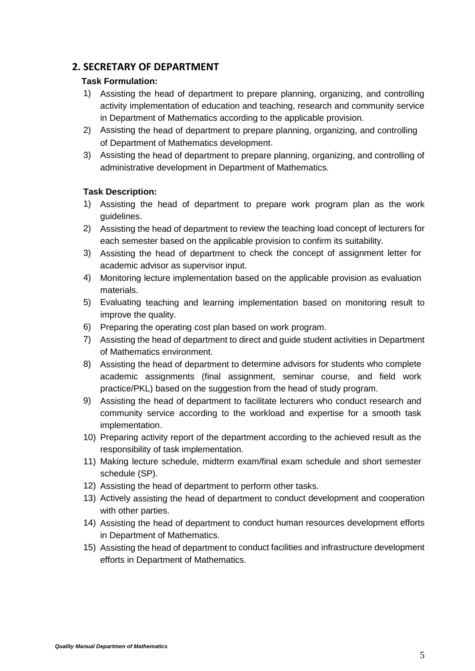# **2. SECRETARY OF DEPARTMENT**

#### **Task Formulation:**

- 1) Assisting the head of department to prepare planning, organizing, and controlling activity implementation of education and teaching, research and community service in Department of Mathematics according to the applicable provision.
- 2) Assisting the head of department to prepare planning, organizing, and controlling of Department of Mathematics development.
- 3) Assisting the head of department to prepare planning, organizing, and controlling of administrative development in Department of Mathematics.

- 1) Assisting the head of department to prepare work program plan as the work guidelines.
- 2) Assisting the head of department to review the teaching load concept of lecturers for each semester based on the applicable provision to confirm its suitability.
- 3) Assisting the head of department to check the concept of assignment letter for academic advisor as supervisor input.
- 4) Monitoring lecture implementation based on the applicable provision as evaluation materials.
- 5) Evaluating teaching and learning implementation based on monitoring result to improve the quality.
- 6) Preparing the operating cost plan based on work program.
- 7) Assisting the head of department to direct and guide student activities in Department of Mathematics environment.
- 8) Assisting the head of department to determine advisors for students who complete academic assignments (final assignment, seminar course, and field work practice/PKL) based on the suggestion from the head of study program.
- 9) Assisting the head of department to facilitate lecturers who conduct research and community service according to the workload and expertise for a smooth task implementation.
- 10) Preparing activity report of the department according to the achieved result as the responsibility of task implementation.
- 11) Making lecture schedule, midterm exam/final exam schedule and short semester schedule (SP).
- 12) Assisting the head of department to perform other tasks.
- 13) Actively assisting the head of department to conduct development and cooperation with other parties.
- 14) Assisting the head of department to conduct human resources development efforts in Department of Mathematics.
- 15) Assisting the head of department to conduct facilities and infrastructure development efforts in Department of Mathematics.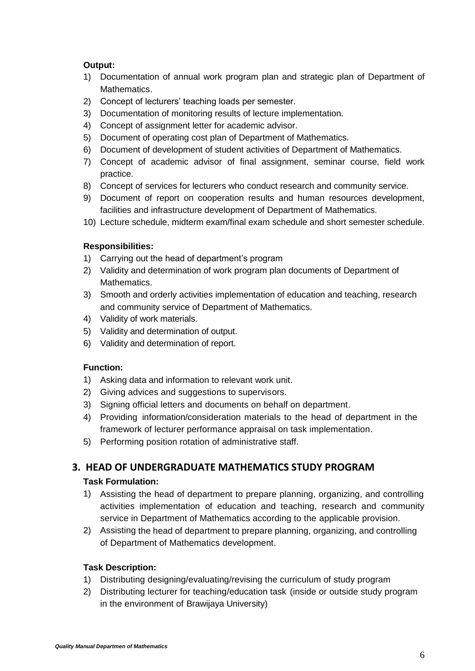# **Output:**

- 1) Documentation of annual work program plan and strategic plan of Department of Mathematics.
- 2) Concept of lecturers' teaching loads per semester.
- 3) Documentation of monitoring results of lecture implementation.
- 4) Concept of assignment letter for academic advisor.
- 5) Document of operating cost plan of Department of Mathematics.
- 6) Document of development of student activities of Department of Mathematics.
- 7) Concept of academic advisor of final assignment, seminar course, field work practice.
- 8) Concept of services for lecturers who conduct research and community service.
- 9) Document of report on cooperation results and human resources development, facilities and infrastructure development of Department of Mathematics.
- 10) Lecture schedule, midterm exam/final exam schedule and short semester schedule.

# **Responsibilities:**

- 1) Carrying out the head of department's program
- 2) Validity and determination of work program plan documents of Department of Mathematics.
- 3) Smooth and orderly activities implementation of education and teaching, research and community service of Department of Mathematics.
- 4) Validity of work materials.
- 5) Validity and determination of output.
- 6) Validity and determination of report.

#### **Function:**

- 1) Asking data and information to relevant work unit.
- 2) Giving advices and suggestions to supervisors.
- 3) Signing official letters and documents on behalf on department.
- 4) Providing information/consideration materials to the head of department in the framework of lecturer performance appraisal on task implementation.
- 5) Performing position rotation of administrative staff.

# **3. HEAD OF UNDERGRADUATE MATHEMATICS STUDY PROGRAM**

# **Task Formulation:**

- 1) Assisting the head of department to prepare planning, organizing, and controlling activities implementation of education and teaching, research and community service in Department of Mathematics according to the applicable provision.
- 2) Assisting the head of department to prepare planning, organizing, and controlling of Department of Mathematics development.

- 1) Distributing designing/evaluating/revising the curriculum of study program
- 2) Distributing lecturer for teaching/education task (inside or outside study program in the environment of Brawijaya University)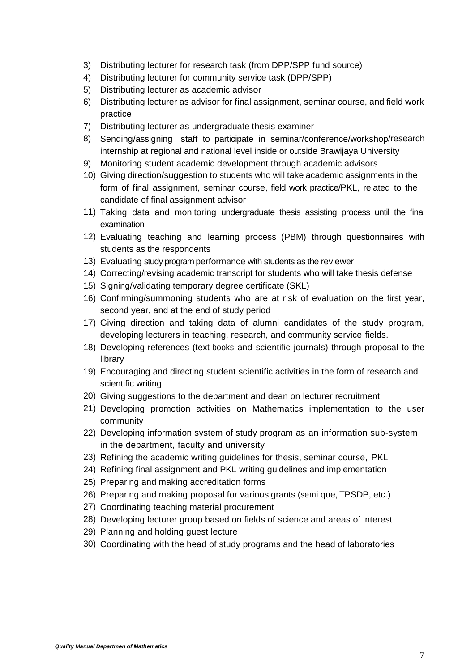- 3) Distributing lecturer for research task (from DPP/SPP fund source)
- 4) Distributing lecturer for community service task (DPP/SPP)
- 5) Distributing lecturer as academic advisor
- 6) Distributing lecturer as advisor for final assignment, seminar course, and field work practice
- 7) Distributing lecturer as undergraduate thesis examiner
- 8) Sending/assigning staff to participate in seminar/conference/workshop/research internship at regional and national level inside or outside Brawijaya University
- 9) Monitoring student academic development through academic advisors
- 10) Giving direction/suggestion to students who will take academic assignments in the form of final assignment, seminar course, field work practice/PKL, related to the candidate of final assignment advisor
- 11) Taking data and monitoring undergraduate thesis assisting process until the final examination
- 12) Evaluating teaching and learning process (PBM) through questionnaires with students as the respondents
- 13) Evaluating study program performance with students as the reviewer
- 14) Correcting/revising academic transcript for students who will take thesis defense
- 15) Signing/validating temporary degree certificate (SKL)
- 16) Confirming/summoning students who are at risk of evaluation on the first year, second year, and at the end of study period
- 17) Giving direction and taking data of alumni candidates of the study program, developing lecturers in teaching, research, and community service fields.
- 18) Developing references (text books and scientific journals) through proposal to the library
- 19) Encouraging and directing student scientific activities in the form of research and scientific writing
- 20) Giving suggestions to the department and dean on lecturer recruitment
- 21) Developing promotion activities on Mathematics implementation to the user community
- 22) Developing information system of study program as an information sub-system in the department, faculty and university
- 23) Refining the academic writing guidelines for thesis, seminar course, PKL
- 24) Refining final assignment and PKL writing guidelines and implementation
- 25) Preparing and making accreditation forms
- 26) Preparing and making proposal for various grants (semi que, TPSDP, etc.)
- 27) Coordinating teaching material procurement
- 28) Developing lecturer group based on fields of science and areas of interest
- 29) Planning and holding guest lecture
- 30) Coordinating with the head of study programs and the head of laboratories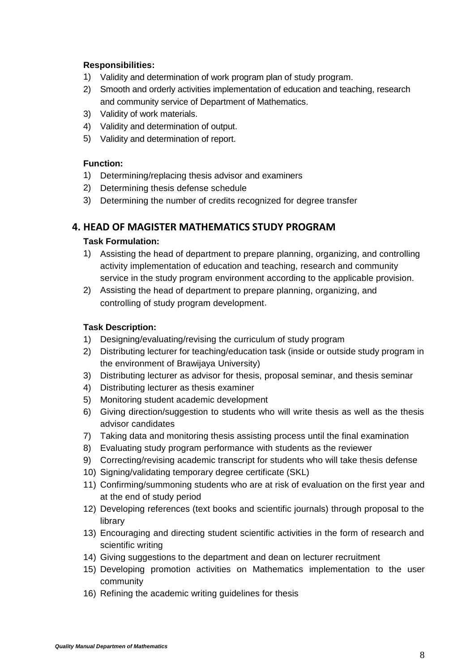# **Responsibilities:**

- 1) Validity and determination of work program plan of study program.
- 2) Smooth and orderly activities implementation of education and teaching, research and community service of Department of Mathematics.
- 3) Validity of work materials.
- 4) Validity and determination of output.
- 5) Validity and determination of report.

#### **Function:**

- 1) Determining/replacing thesis advisor and examiners
- 2) Determining thesis defense schedule
- 3) Determining the number of credits recognized for degree transfer

# **4. HEAD OF MAGISTER MATHEMATICS STUDY PROGRAM**

#### **Task Formulation:**

- 1) Assisting the head of department to prepare planning, organizing, and controlling activity implementation of education and teaching, research and community service in the study program environment according to the applicable provision.
- 2) Assisting the head of department to prepare planning, organizing, and controlling of study program development.

- 1) Designing/evaluating/revising the curriculum of study program
- 2) Distributing lecturer for teaching/education task (inside or outside study program in the environment of Brawijaya University)
- 3) Distributing lecturer as advisor for thesis, proposal seminar, and thesis seminar
- 4) Distributing lecturer as thesis examiner
- 5) Monitoring student academic development
- 6) Giving direction/suggestion to students who will write thesis as well as the thesis advisor candidates
- 7) Taking data and monitoring thesis assisting process until the final examination
- 8) Evaluating study program performance with students as the reviewer
- 9) Correcting/revising academic transcript for students who will take thesis defense
- 10) Signing/validating temporary degree certificate (SKL)
- 11) Confirming/summoning students who are at risk of evaluation on the first year and at the end of study period
- 12) Developing references (text books and scientific journals) through proposal to the library
- 13) Encouraging and directing student scientific activities in the form of research and scientific writing
- 14) Giving suggestions to the department and dean on lecturer recruitment
- 15) Developing promotion activities on Mathematics implementation to the user community
- 16) Refining the academic writing guidelines for thesis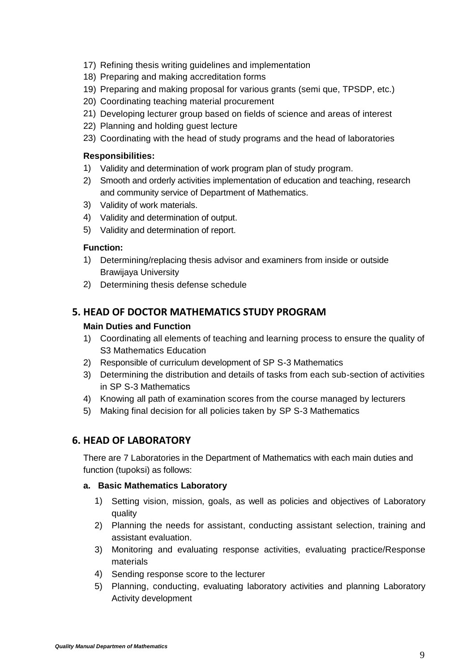- 17) Refining thesis writing guidelines and implementation
- 18) Preparing and making accreditation forms
- 19) Preparing and making proposal for various grants (semi que, TPSDP, etc.)
- 20) Coordinating teaching material procurement
- 21) Developing lecturer group based on fields of science and areas of interest
- 22) Planning and holding guest lecture
- 23) Coordinating with the head of study programs and the head of laboratories

#### **Responsibilities:**

- 1) Validity and determination of work program plan of study program.
- 2) Smooth and orderly activities implementation of education and teaching, research and community service of Department of Mathematics.
- 3) Validity of work materials.
- 4) Validity and determination of output.
- 5) Validity and determination of report.

#### **Function:**

- 1) Determining/replacing thesis advisor and examiners from inside or outside Brawijaya University
- 2) Determining thesis defense schedule

# **5. HEAD OF DOCTOR MATHEMATICS STUDY PROGRAM**

#### **Main Duties and Function**

- 1) Coordinating all elements of teaching and learning process to ensure the quality of S3 Mathematics Education
- 2) Responsible of curriculum development of SP S-3 Mathematics
- 3) Determining the distribution and details of tasks from each sub-section of activities in SP S-3 Mathematics
- 4) Knowing all path of examination scores from the course managed by lecturers
- 5) Making final decision for all policies taken by SP S-3 Mathematics

# **6. HEAD OF LABORATORY**

There are 7 Laboratories in the Department of Mathematics with each main duties and function (tupoksi) as follows:

#### **a. Basic Mathematics Laboratory**

- 1) Setting vision, mission, goals, as well as policies and objectives of Laboratory quality
- 2) Planning the needs for assistant, conducting assistant selection, training and assistant evaluation.
- 3) Monitoring and evaluating response activities, evaluating practice/Response materials
- 4) Sending response score to the lecturer
- 5) Planning, conducting, evaluating laboratory activities and planning Laboratory Activity development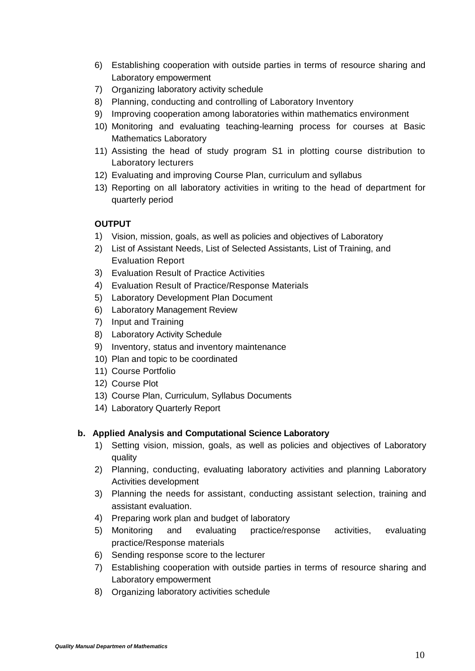- 6) Establishing cooperation with outside parties in terms of resource sharing and Laboratory empowerment
- 7) Organizing laboratory activity schedule
- 8) Planning, conducting and controlling of Laboratory Inventory
- 9) Improving cooperation among laboratories within mathematics environment
- 10) Monitoring and evaluating teaching-learning process for courses at Basic Mathematics Laboratory
- 11) Assisting the head of study program S1 in plotting course distribution to Laboratory lecturers
- 12) Evaluating and improving Course Plan, curriculum and syllabus
- 13) Reporting on all laboratory activities in writing to the head of department for quarterly period

#### **OUTPUT**

- 1) Vision, mission, goals, as well as policies and objectives of Laboratory
- 2) List of Assistant Needs, List of Selected Assistants, List of Training, and Evaluation Report
- 3) Evaluation Result of Practice Activities
- 4) Evaluation Result of Practice/Response Materials
- 5) Laboratory Development Plan Document
- 6) Laboratory Management Review
- 7) Input and Training
- 8) Laboratory Activity Schedule
- 9) Inventory, status and inventory maintenance
- 10) Plan and topic to be coordinated
- 11) Course Portfolio
- 12) Course Plot
- 13) Course Plan, Curriculum, Syllabus Documents
- 14) Laboratory Quarterly Report

#### **b. Applied Analysis and Computational Science Laboratory**

- 1) Setting vision, mission, goals, as well as policies and objectives of Laboratory quality
- 2) Planning, conducting, evaluating laboratory activities and planning Laboratory Activities development
- 3) Planning the needs for assistant, conducting assistant selection, training and assistant evaluation.
- 4) Preparing work plan and budget of laboratory
- 5) Monitoring and evaluating practice/response activities, evaluating practice/Response materials
- 6) Sending response score to the lecturer
- 7) Establishing cooperation with outside parties in terms of resource sharing and Laboratory empowerment
- 8) Organizing laboratory activities schedule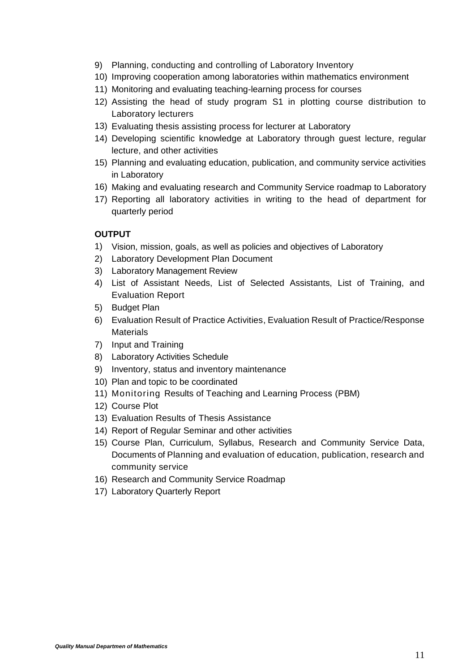- 9) Planning, conducting and controlling of Laboratory Inventory
- 10) Improving cooperation among laboratories within mathematics environment
- 11) Monitoring and evaluating teaching-learning process for courses
- 12) Assisting the head of study program S1 in plotting course distribution to Laboratory lecturers
- 13) Evaluating thesis assisting process for lecturer at Laboratory
- 14) Developing scientific knowledge at Laboratory through guest lecture, regular lecture, and other activities
- 15) Planning and evaluating education, publication, and community service activities in Laboratory
- 16) Making and evaluating research and Community Service roadmap to Laboratory
- 17) Reporting all laboratory activities in writing to the head of department for quarterly period

- 1) Vision, mission, goals, as well as policies and objectives of Laboratory
- 2) Laboratory Development Plan Document
- 3) Laboratory Management Review
- 4) List of Assistant Needs, List of Selected Assistants, List of Training, and Evaluation Report
- 5) Budget Plan
- 6) Evaluation Result of Practice Activities, Evaluation Result of Practice/Response **Materials**
- 7) Input and Training
- 8) Laboratory Activities Schedule
- 9) Inventory, status and inventory maintenance
- 10) Plan and topic to be coordinated
- 11) Monitoring Results of Teaching and Learning Process (PBM)
- 12) Course Plot
- 13) Evaluation Results of Thesis Assistance
- 14) Report of Regular Seminar and other activities
- 15) Course Plan, Curriculum, Syllabus, Research and Community Service Data, Documents of Planning and evaluation of education, publication, research and community service
- 16) Research and Community Service Roadmap
- 17) Laboratory Quarterly Report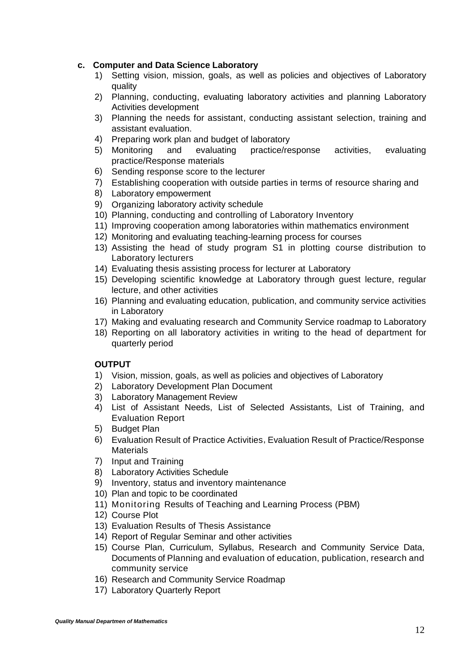#### **c. Computer and Data Science Laboratory**

- 1) Setting vision, mission, goals, as well as policies and objectives of Laboratory quality
- 2) Planning, conducting, evaluating laboratory activities and planning Laboratory Activities development
- 3) Planning the needs for assistant, conducting assistant selection, training and assistant evaluation.
- 4) Preparing work plan and budget of laboratory
- 5) Monitoring and evaluating practice/response activities, evaluating practice/Response materials
- 6) Sending response score to the lecturer
- 7) Establishing cooperation with outside parties in terms of resource sharing and
- 8) Laboratory empowerment
- 9) Organizing laboratory activity schedule
- 10) Planning, conducting and controlling of Laboratory Inventory
- 11) Improving cooperation among laboratories within mathematics environment
- 12) Monitoring and evaluating teaching-learning process for courses
- 13) Assisting the head of study program S1 in plotting course distribution to Laboratory lecturers
- 14) Evaluating thesis assisting process for lecturer at Laboratory
- 15) Developing scientific knowledge at Laboratory through guest lecture, regular lecture, and other activities
- 16) Planning and evaluating education, publication, and community service activities in Laboratory
- 17) Making and evaluating research and Community Service roadmap to Laboratory
- 18) Reporting on all laboratory activities in writing to the head of department for quarterly period

- 1) Vision, mission, goals, as well as policies and objectives of Laboratory
- 2) Laboratory Development Plan Document
- 3) Laboratory Management Review
- 4) List of Assistant Needs, List of Selected Assistants, List of Training, and Evaluation Report
- 5) Budget Plan
- 6) Evaluation Result of Practice Activities, Evaluation Result of Practice/Response **Materials**
- 7) Input and Training
- 8) Laboratory Activities Schedule
- 9) Inventory, status and inventory maintenance
- 10) Plan and topic to be coordinated
- 11) Monitoring Results of Teaching and Learning Process (PBM)
- 12) Course Plot
- 13) Evaluation Results of Thesis Assistance
- 14) Report of Regular Seminar and other activities
- 15) Course Plan, Curriculum, Syllabus, Research and Community Service Data, Documents of Planning and evaluation of education, publication, research and community service
- 16) Research and Community Service Roadmap
- 17) Laboratory Quarterly Report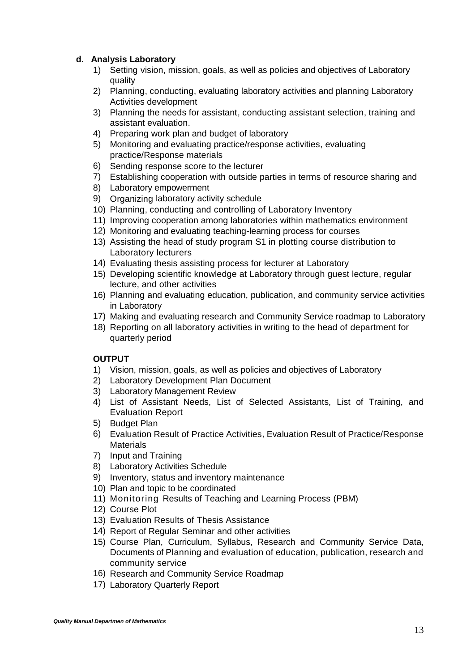#### **d. Analysis Laboratory**

- 1) Setting vision, mission, goals, as well as policies and objectives of Laboratory quality
- 2) Planning, conducting, evaluating laboratory activities and planning Laboratory Activities development
- 3) Planning the needs for assistant, conducting assistant selection, training and assistant evaluation.
- 4) Preparing work plan and budget of laboratory
- 5) Monitoring and evaluating practice/response activities, evaluating practice/Response materials
- 6) Sending response score to the lecturer
- 7) Establishing cooperation with outside parties in terms of resource sharing and
- 8) Laboratory empowerment
- 9) Organizing laboratory activity schedule
- 10) Planning, conducting and controlling of Laboratory Inventory
- 11) Improving cooperation among laboratories within mathematics environment
- 12) Monitoring and evaluating teaching-learning process for courses
- 13) Assisting the head of study program S1 in plotting course distribution to Laboratory lecturers
- 14) Evaluating thesis assisting process for lecturer at Laboratory
- 15) Developing scientific knowledge at Laboratory through guest lecture, regular lecture, and other activities
- 16) Planning and evaluating education, publication, and community service activities in Laboratory
- 17) Making and evaluating research and Community Service roadmap to Laboratory
- 18) Reporting on all laboratory activities in writing to the head of department for quarterly period

- 1) Vision, mission, goals, as well as policies and objectives of Laboratory
- 2) Laboratory Development Plan Document
- 3) Laboratory Management Review
- 4) List of Assistant Needs, List of Selected Assistants, List of Training, and Evaluation Report
- 5) Budget Plan
- 6) Evaluation Result of Practice Activities, Evaluation Result of Practice/Response Materials
- 7) Input and Training
- 8) Laboratory Activities Schedule
- 9) Inventory, status and inventory maintenance
- 10) Plan and topic to be coordinated
- 11) Monitoring Results of Teaching and Learning Process (PBM)
- 12) Course Plot
- 13) Evaluation Results of Thesis Assistance
- 14) Report of Regular Seminar and other activities
- 15) Course Plan, Curriculum, Syllabus, Research and Community Service Data, Documents of Planning and evaluation of education, publication, research and community service
- 16) Research and Community Service Roadmap
- 17) Laboratory Quarterly Report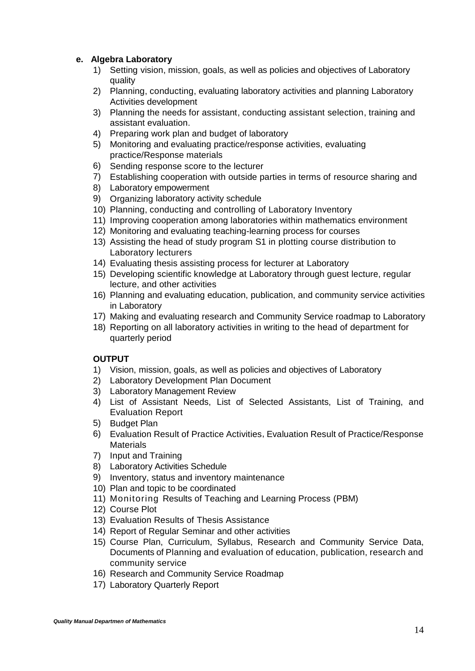#### **e. Algebra Laboratory**

- 1) Setting vision, mission, goals, as well as policies and objectives of Laboratory quality
- 2) Planning, conducting, evaluating laboratory activities and planning Laboratory Activities development
- 3) Planning the needs for assistant, conducting assistant selection, training and assistant evaluation.
- 4) Preparing work plan and budget of laboratory
- 5) Monitoring and evaluating practice/response activities, evaluating practice/Response materials
- 6) Sending response score to the lecturer
- 7) Establishing cooperation with outside parties in terms of resource sharing and
- 8) Laboratory empowerment
- 9) Organizing laboratory activity schedule
- 10) Planning, conducting and controlling of Laboratory Inventory
- 11) Improving cooperation among laboratories within mathematics environment
- 12) Monitoring and evaluating teaching-learning process for courses
- 13) Assisting the head of study program S1 in plotting course distribution to Laboratory lecturers
- 14) Evaluating thesis assisting process for lecturer at Laboratory
- 15) Developing scientific knowledge at Laboratory through guest lecture, regular lecture, and other activities
- 16) Planning and evaluating education, publication, and community service activities in Laboratory
- 17) Making and evaluating research and Community Service roadmap to Laboratory
- 18) Reporting on all laboratory activities in writing to the head of department for quarterly period

- 1) Vision, mission, goals, as well as policies and objectives of Laboratory
- 2) Laboratory Development Plan Document
- 3) Laboratory Management Review
- 4) List of Assistant Needs, List of Selected Assistants, List of Training, and Evaluation Report
- 5) Budget Plan
- 6) Evaluation Result of Practice Activities, Evaluation Result of Practice/Response Materials
- 7) Input and Training
- 8) Laboratory Activities Schedule
- 9) Inventory, status and inventory maintenance
- 10) Plan and topic to be coordinated
- 11) Monitoring Results of Teaching and Learning Process (PBM)
- 12) Course Plot
- 13) Evaluation Results of Thesis Assistance
- 14) Report of Regular Seminar and other activities
- 15) Course Plan, Curriculum, Syllabus, Research and Community Service Data, Documents of Planning and evaluation of education, publication, research and community service
- 16) Research and Community Service Roadmap
- 17) Laboratory Quarterly Report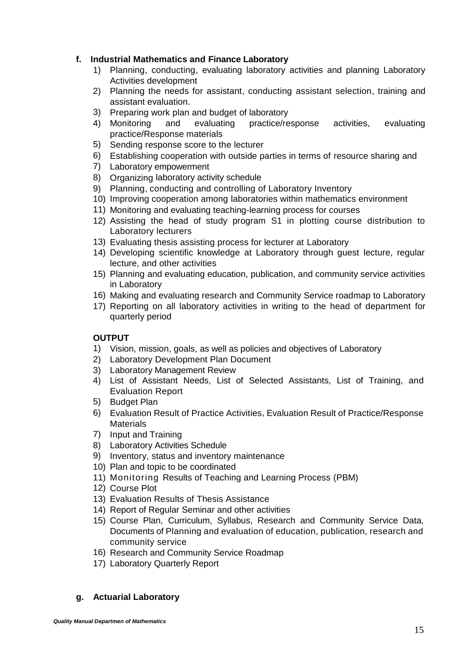#### **f. Industrial Mathematics and Finance Laboratory**

- 1) Planning, conducting, evaluating laboratory activities and planning Laboratory Activities development
- 2) Planning the needs for assistant, conducting assistant selection, training and assistant evaluation.
- 3) Preparing work plan and budget of laboratory
- 4) Monitoring and evaluating practice/response activities, evaluating practice/Response materials
- 5) Sending response score to the lecturer
- 6) Establishing cooperation with outside parties in terms of resource sharing and
- 7) Laboratory empowerment
- 8) Organizing laboratory activity schedule
- 9) Planning, conducting and controlling of Laboratory Inventory
- 10) Improving cooperation among laboratories within mathematics environment
- 11) Monitoring and evaluating teaching-learning process for courses
- 12) Assisting the head of study program S1 in plotting course distribution to Laboratory lecturers
- 13) Evaluating thesis assisting process for lecturer at Laboratory
- 14) Developing scientific knowledge at Laboratory through guest lecture, regular lecture, and other activities
- 15) Planning and evaluating education, publication, and community service activities in Laboratory
- 16) Making and evaluating research and Community Service roadmap to Laboratory
- 17) Reporting on all laboratory activities in writing to the head of department for quarterly period

#### **OUTPUT**

- 1) Vision, mission, goals, as well as policies and objectives of Laboratory
- 2) Laboratory Development Plan Document
- 3) Laboratory Management Review
- 4) List of Assistant Needs, List of Selected Assistants, List of Training, and Evaluation Report
- 5) Budget Plan
- 6) Evaluation Result of Practice Activities, Evaluation Result of Practice/Response **Materials**
- 7) Input and Training
- 8) Laboratory Activities Schedule
- 9) Inventory, status and inventory maintenance
- 10) Plan and topic to be coordinated
- 11) Monitoring Results of Teaching and Learning Process (PBM)
- 12) Course Plot
- 13) Evaluation Results of Thesis Assistance
- 14) Report of Regular Seminar and other activities
- 15) Course Plan, Curriculum, Syllabus, Research and Community Service Data, Documents of Planning and evaluation of education, publication, research and community service
- 16) Research and Community Service Roadmap
- 17) Laboratory Quarterly Report

# **g. Actuarial Laboratory**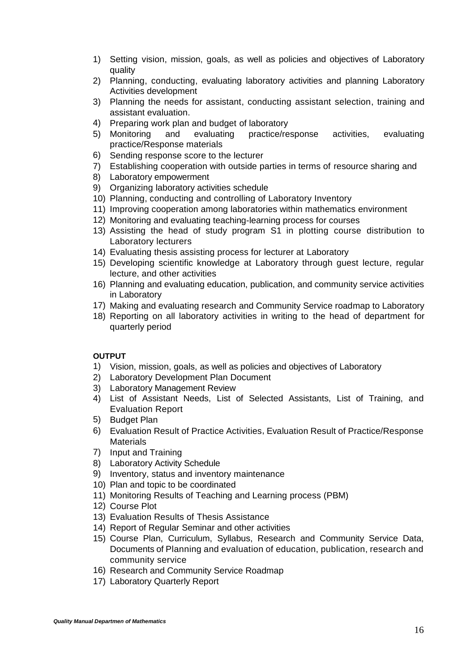- 1) Setting vision, mission, goals, as well as policies and objectives of Laboratory quality
- 2) Planning, conducting, evaluating laboratory activities and planning Laboratory Activities development
- 3) Planning the needs for assistant, conducting assistant selection, training and assistant evaluation.
- 4) Preparing work plan and budget of laboratory
- 5) Monitoring and evaluating practice/response activities, evaluating practice/Response materials
- 6) Sending response score to the lecturer
- 7) Establishing cooperation with outside parties in terms of resource sharing and
- 8) Laboratory empowerment
- 9) Organizing laboratory activities schedule
- 10) Planning, conducting and controlling of Laboratory Inventory
- 11) Improving cooperation among laboratories within mathematics environment
- 12) Monitoring and evaluating teaching-learning process for courses
- 13) Assisting the head of study program S1 in plotting course distribution to Laboratory lecturers
- 14) Evaluating thesis assisting process for lecturer at Laboratory
- 15) Developing scientific knowledge at Laboratory through guest lecture, regular lecture, and other activities
- 16) Planning and evaluating education, publication, and community service activities in Laboratory
- 17) Making and evaluating research and Community Service roadmap to Laboratory
- 18) Reporting on all laboratory activities in writing to the head of department for quarterly period

- 1) Vision, mission, goals, as well as policies and objectives of Laboratory
- 2) Laboratory Development Plan Document
- 3) Laboratory Management Review
- 4) List of Assistant Needs, List of Selected Assistants, List of Training, and Evaluation Report
- 5) Budget Plan
- 6) Evaluation Result of Practice Activities, Evaluation Result of Practice/Response **Materials**
- 7) Input and Training
- 8) Laboratory Activity Schedule
- 9) Inventory, status and inventory maintenance
- 10) Plan and topic to be coordinated
- 11) Monitoring Results of Teaching and Learning process (PBM)
- 12) Course Plot
- 13) Evaluation Results of Thesis Assistance
- 14) Report of Regular Seminar and other activities
- 15) Course Plan, Curriculum, Syllabus, Research and Community Service Data, Documents of Planning and evaluation of education, publication, research and community service
- 16) Research and Community Service Roadmap
- 17) Laboratory Quarterly Report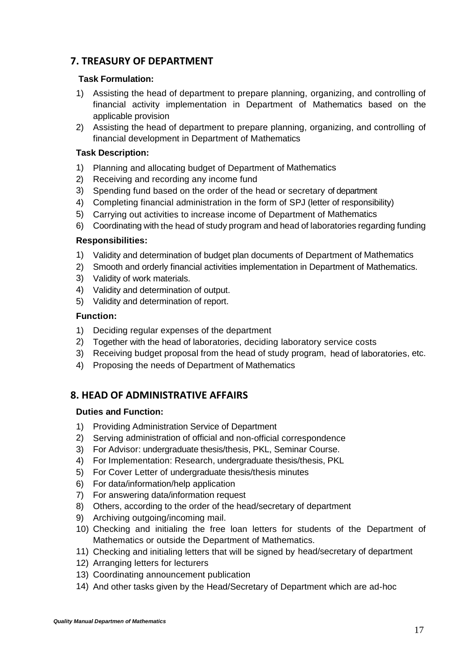# **7. TREASURY OF DEPARTMENT**

#### **Task Formulation:**

- 1) Assisting the head of department to prepare planning, organizing, and controlling of financial activity implementation in Department of Mathematics based on the applicable provision
- 2) Assisting the head of department to prepare planning, organizing, and controlling of financial development in Department of Mathematics

#### **Task Description:**

- 1) Planning and allocating budget of Department of Mathematics
- 2) Receiving and recording any income fund
- 3) Spending fund based on the order of the head or secretary of department
- 4) Completing financial administration in the form of SPJ (letter of responsibility)
- 5) Carrying out activities to increase income of Department of Mathematics
- 6) Coordinating with the head of study program and head of laboratories regarding funding

#### **Responsibilities:**

- 1) Validity and determination of budget plan documents of Department of Mathematics
- 2) Smooth and orderly financial activities implementation in Department of Mathematics.
- 3) Validity of work materials.
- 4) Validity and determination of output.
- 5) Validity and determination of report.

#### **Function:**

- 1) Deciding regular expenses of the department
- 2) Together with the head of laboratories, deciding laboratory service costs
- 3) Receiving budget proposal from the head of study program, head of laboratories, etc.
- 4) Proposing the needs of Department of Mathematics

# **8. HEAD OF ADMINISTRATIVE AFFAIRS**

#### **Duties and Function:**

- 1) Providing Administration Service of Department
- 2) Serving administration of official and non-official correspondence
- 3) For Advisor: undergraduate thesis/thesis, PKL, Seminar Course.
- 4) For Implementation: Research, undergraduate thesis/thesis, PKL
- 5) For Cover Letter of undergraduate thesis/thesis minutes
- 6) For data/information/help application
- 7) For answering data/information request
- 8) Others, according to the order of the head/secretary of department
- 9) Archiving outgoing/incoming mail.
- 10) Checking and initialing the free loan letters for students of the Department of Mathematics or outside the Department of Mathematics.
- 11) Checking and initialing letters that will be signed by head/secretary of department
- 12) Arranging letters for lecturers
- 13) Coordinating announcement publication
- 14) And other tasks given by the Head/Secretary of Department which are ad-hoc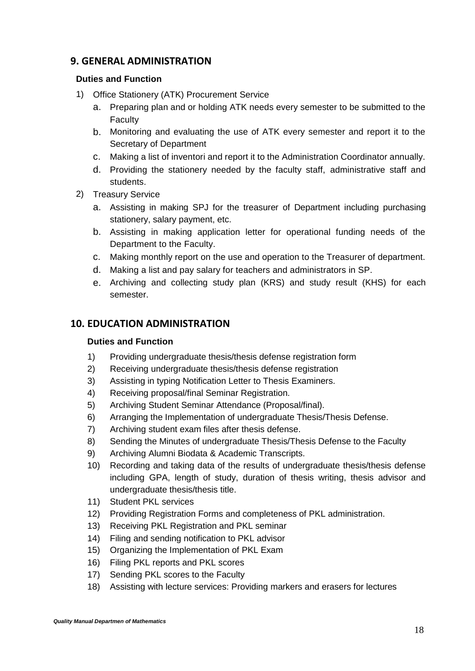# **9. GENERAL ADMINISTRATION**

#### **Duties and Function**

- 1) Office Stationery (ATK) Procurement Service
	- a. Preparing plan and or holding ATK needs every semester to be submitted to the Faculty
	- b. Monitoring and evaluating the use of ATK every semester and report it to the Secretary of Department
	- c. Making a list of inventori and report it to the Administration Coordinator annually.
	- d. Providing the stationery needed by the faculty staff, administrative staff and students.
- 2) Treasury Service
	- a. Assisting in making SPJ for the treasurer of Department including purchasing stationery, salary payment, etc.
	- b. Assisting in making application letter for operational funding needs of the Department to the Faculty.
	- c. Making monthly report on the use and operation to the Treasurer of department.
	- d. Making a list and pay salary for teachers and administrators in SP.
	- e. Archiving and collecting study plan (KRS) and study result (KHS) for each semester.

# **10. EDUCATION ADMINISTRATION**

#### **Duties and Function**

- 1) Providing undergraduate thesis/thesis defense registration form
- 2) Receiving undergraduate thesis/thesis defense registration
- 3) Assisting in typing Notification Letter to Thesis Examiners.
- 4) Receiving proposal/final Seminar Registration.
- 5) Archiving Student Seminar Attendance (Proposal/final).
- 6) Arranging the Implementation of undergraduate Thesis/Thesis Defense.
- 7) Archiving student exam files after thesis defense.
- 8) Sending the Minutes of undergraduate Thesis/Thesis Defense to the Faculty
- 9) Archiving Alumni Biodata & Academic Transcripts.
- 10) Recording and taking data of the results of undergraduate thesis/thesis defense including GPA, length of study, duration of thesis writing, thesis advisor and undergraduate thesis/thesis title.
- 11) Student PKL services
- 12) Providing Registration Forms and completeness of PKL administration.
- 13) Receiving PKL Registration and PKL seminar
- 14) Filing and sending notification to PKL advisor
- 15) Organizing the Implementation of PKL Exam
- 16) Filing PKL reports and PKL scores
- 17) Sending PKL scores to the Faculty
- 18) Assisting with lecture services: Providing markers and erasers for lectures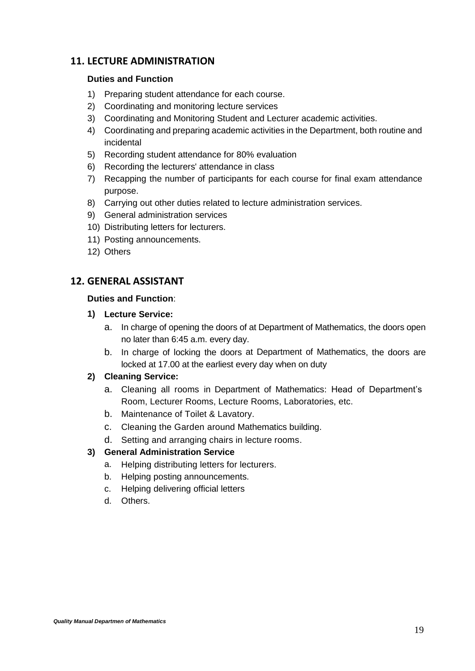# **11. LECTURE ADMINISTRATION**

#### **Duties and Function**

- 1) Preparing student attendance for each course.
- 2) Coordinating and monitoring lecture services
- 3) Coordinating and Monitoring Student and Lecturer academic activities.
- 4) Coordinating and preparing academic activities in the Department, both routine and incidental
- 5) Recording student attendance for 80% evaluation
- 6) Recording the lecturers' attendance in class
- 7) Recapping the number of participants for each course for final exam attendance purpose.
- 8) Carrying out other duties related to lecture administration services.
- 9) General administration services
- 10) Distributing letters for lecturers.
- 11) Posting announcements.
- 12) Others

# **12. GENERAL ASSISTANT**

#### **Duties and Function**:

#### **1) Lecture Service:**

- a. In charge of opening the doors of at Department of Mathematics, the doors open no later than 6:45 a.m. every day.
- b. In charge of locking the doors at Department of Mathematics, the doors are locked at 17.00 at the earliest every day when on duty

# **2) Cleaning Service:**

- a. Cleaning all rooms in Department of Mathematics: Head of Department's Room, Lecturer Rooms, Lecture Rooms, Laboratories, etc.
- b. Maintenance of Toilet & Lavatory.
- c. Cleaning the Garden around Mathematics building.
- d. Setting and arranging chairs in lecture rooms.

# **3) General Administration Service**

- a. Helping distributing letters for lecturers.
- b. Helping posting announcements.
- c. Helping delivering official letters
- d. Others.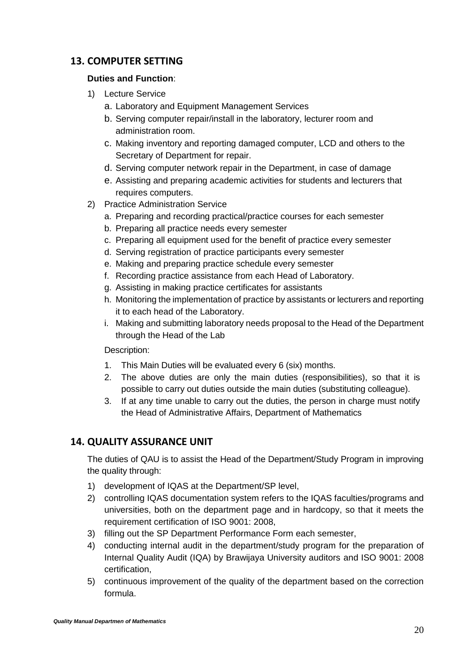# **13. COMPUTER SETTING**

#### **Duties and Function**:

- 1) Lecture Service
	- a. Laboratory and Equipment Management Services
	- b. Serving computer repair/install in the laboratory, lecturer room and administration room.
	- c. Making inventory and reporting damaged computer, LCD and others to the Secretary of Department for repair.
	- d. Serving computer network repair in the Department, in case of damage
	- e. Assisting and preparing academic activities for students and lecturers that requires computers.
- 2) Practice Administration Service
	- a. Preparing and recording practical/practice courses for each semester
	- b. Preparing all practice needs every semester
	- c. Preparing all equipment used for the benefit of practice every semester
	- d. Serving registration of practice participants every semester
	- e. Making and preparing practice schedule every semester
	- f. Recording practice assistance from each Head of Laboratory.
	- g. Assisting in making practice certificates for assistants
	- h. Monitoring the implementation of practice by assistants or lecturers and reporting it to each head of the Laboratory.
	- i. Making and submitting laboratory needs proposal to the Head of the Department through the Head of the Lab

Description:

- 1. This Main Duties will be evaluated every 6 (six) months.
- 2. The above duties are only the main duties (responsibilities), so that it is possible to carry out duties outside the main duties (substituting colleague).
- 3. If at any time unable to carry out the duties, the person in charge must notify the Head of Administrative Affairs, Department of Mathematics

# **14. QUALITY ASSURANCE UNIT**

The duties of QAU is to assist the Head of the Department/Study Program in improving the quality through:

- 1) development of IQAS at the Department/SP level,
- 2) controlling IQAS documentation system refers to the IQAS faculties/programs and universities, both on the department page and in hardcopy, so that it meets the requirement certification of ISO 9001: 2008,
- 3) filling out the SP Department Performance Form each semester,
- 4) conducting internal audit in the department/study program for the preparation of Internal Quality Audit (IQA) by Brawijaya University auditors and ISO 9001: 2008 certification,
- 5) continuous improvement of the quality of the department based on the correction formula.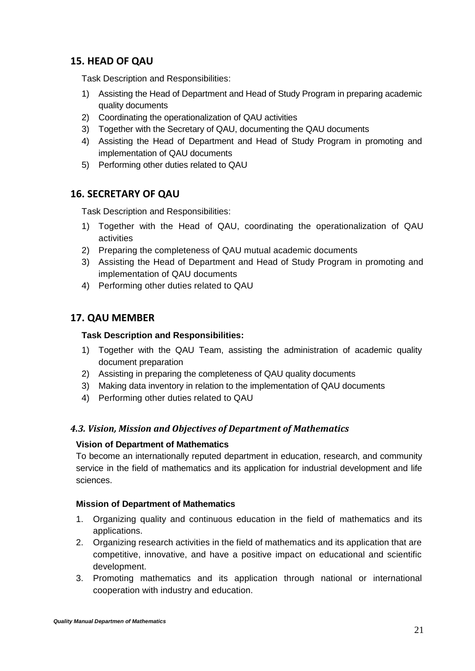# **15. HEAD OF QAU**

Task Description and Responsibilities:

- 1) Assisting the Head of Department and Head of Study Program in preparing academic quality documents
- 2) Coordinating the operationalization of QAU activities
- 3) Together with the Secretary of QAU, documenting the QAU documents
- 4) Assisting the Head of Department and Head of Study Program in promoting and implementation of QAU documents
- 5) Performing other duties related to QAU

# **16. SECRETARY OF QAU**

Task Description and Responsibilities:

- 1) Together with the Head of QAU, coordinating the operationalization of QAU activities
- 2) Preparing the completeness of QAU mutual academic documents
- 3) Assisting the Head of Department and Head of Study Program in promoting and implementation of QAU documents
- 4) Performing other duties related to QAU

# **17. QAU MEMBER**

#### **Task Description and Responsibilities:**

- 1) Together with the QAU Team, assisting the administration of academic quality document preparation
- 2) Assisting in preparing the completeness of QAU quality documents
- 3) Making data inventory in relation to the implementation of QAU documents
- 4) Performing other duties related to QAU

# <span id="page-24-0"></span>*4.3. Vision, Mission and Objectives of Department of Mathematics*

#### **Vision of Department of Mathematics**

To become an internationally reputed department in education, research, and community service in the field of mathematics and its application for industrial development and life sciences.

#### **Mission of Department of Mathematics**

- 1. Organizing quality and continuous education in the field of mathematics and its applications.
- 2. Organizing research activities in the field of mathematics and its application that are competitive, innovative, and have a positive impact on educational and scientific development.
- 3. Promoting mathematics and its application through national or international cooperation with industry and education.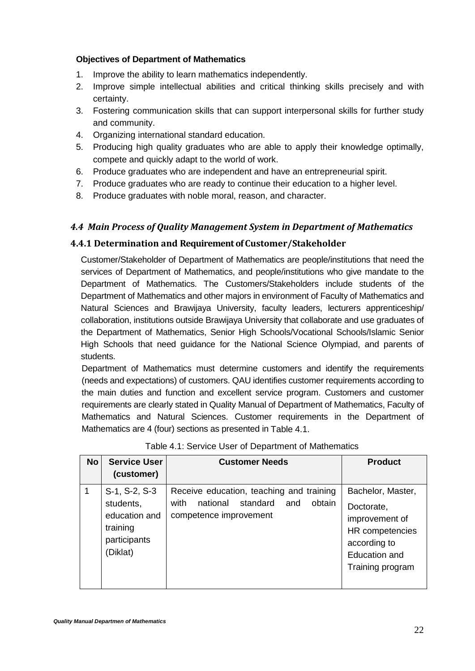# **Objectives of Department of Mathematics**

- 1. Improve the ability to learn mathematics independently.
- 2. Improve simple intellectual abilities and critical thinking skills precisely and with certainty.
- 3. Fostering communication skills that can support interpersonal skills for further study and community.
- 4. Organizing international standard education.
- 5. Producing high quality graduates who are able to apply their knowledge optimally, compete and quickly adapt to the world of work.
- 6. Produce graduates who are independent and have an entrepreneurial spirit.
- 7. Produce graduates who are ready to continue their education to a higher level.
- 8. Produce graduates with noble moral, reason, and character.

# <span id="page-25-0"></span>*4.4 Main Process of Quality Management System in Department of Mathematics*

# <span id="page-25-1"></span>**4.4.1 Determination and Requirement of Customer/Stakeholder**

Customer/Stakeholder of Department of Mathematics are people/institutions that need the services of Department of Mathematics, and people/institutions who give mandate to the Department of Mathematics. The Customers/Stakeholders include students of the Department of Mathematics and other majors in environment of Faculty of Mathematics and Natural Sciences and Brawijaya University, faculty leaders, lecturers apprenticeship/ collaboration, institutions outside Brawijaya University that collaborate and use graduates of the Department of Mathematics, Senior High Schools/Vocational Schools/Islamic Senior High Schools that need guidance for the National Science Olympiad, and parents of students.

Department of Mathematics must determine customers and identify the requirements (needs and expectations) of customers. QAU identifies customer requirements according to the main duties and function and excellent service program. Customers and customer requirements are clearly stated in Quality Manual of Department of Mathematics, Faculty of Mathematics and Natural Sciences. Customer requirements in the Department of Mathematics are 4 (four) sections as presented in Table 4.1.

| <b>No</b> | <b>Service User</b><br>(customer)                                                   | <b>Customer Needs</b>                                                                                               | <b>Product</b>                                                                                                            |
|-----------|-------------------------------------------------------------------------------------|---------------------------------------------------------------------------------------------------------------------|---------------------------------------------------------------------------------------------------------------------------|
|           | S-1, S-2, S-3<br>students,<br>education and<br>training<br>participants<br>(Diklat) | Receive education, teaching and training<br>national<br>standard<br>obtain<br>with<br>and<br>competence improvement | Bachelor, Master,<br>Doctorate,<br>improvement of<br>HR competencies<br>according to<br>Education and<br>Training program |

|  | Table 4.1: Service User of Department of Mathematics |
|--|------------------------------------------------------|
|--|------------------------------------------------------|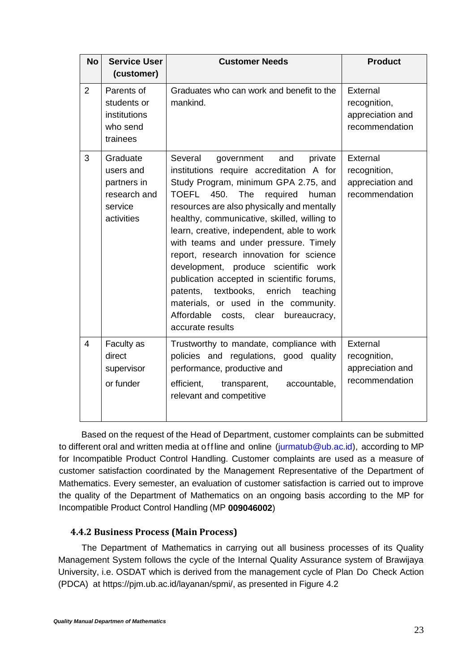| <b>No</b>      | <b>Service User</b><br>(customer)                                             | <b>Customer Needs</b>                                                                                                                                                                                                                                                                                                                                                                                                                                                                                                                                                                                                                                       | <b>Product</b>                                                 |
|----------------|-------------------------------------------------------------------------------|-------------------------------------------------------------------------------------------------------------------------------------------------------------------------------------------------------------------------------------------------------------------------------------------------------------------------------------------------------------------------------------------------------------------------------------------------------------------------------------------------------------------------------------------------------------------------------------------------------------------------------------------------------------|----------------------------------------------------------------|
| 2              | Parents of<br>students or<br>institutions<br>who send<br>trainees             | Graduates who can work and benefit to the<br>mankind.                                                                                                                                                                                                                                                                                                                                                                                                                                                                                                                                                                                                       | External<br>recognition,<br>appreciation and<br>recommendation |
| 3              | Graduate<br>users and<br>partners in<br>research and<br>service<br>activities | Several<br>and<br>private<br>government<br>institutions require accreditation A for<br>Study Program, minimum GPA 2.75, and<br><b>TOEFL</b><br>450.<br>The<br>required<br>human<br>resources are also physically and mentally<br>healthy, communicative, skilled, willing to<br>learn, creative, independent, able to work<br>with teams and under pressure. Timely<br>report, research innovation for science<br>development, produce scientific work<br>publication accepted in scientific forums,<br>textbooks,<br>enrich<br>patents,<br>teaching<br>materials, or used in the community.<br>Affordable costs, clear<br>bureaucracy,<br>accurate results | External<br>recognition,<br>appreciation and<br>recommendation |
| $\overline{4}$ | Faculty as<br>direct<br>supervisor<br>or funder                               | Trustworthy to mandate, compliance with<br>policies and regulations, good quality<br>performance, productive and<br>efficient,<br>accountable,<br>transparent,<br>relevant and competitive                                                                                                                                                                                                                                                                                                                                                                                                                                                                  | External<br>recognition,<br>appreciation and<br>recommendation |

Based on the request of the Head of Department, customer complaints can be submitted to different oral and written media at offline and online (jurmatub@ub.ac.id), according to MP for Incompatible Product Control Handling. Customer complaints are used as a measure of customer satisfaction coordinated by the Management Representative of the Department of Mathematics. Every semester, an evaluation of customer satisfaction is carried out to improve the quality of the Department of Mathematics on an ongoing basis according to the MP for Incompatible Product Control Handling (MP **009046002**)

# <span id="page-26-0"></span>**4.4.2 Business Process (Main Process)**

The Department of Mathematics in carrying out all business processes of its Quality Management System follows the cycle of the Internal Quality Assurance system of Brawijaya University, i.e. OSDAT which is derived from the management cycle of Plan Do Check Action (PDCA) at https://pjm.ub.ac.id/layanan/spmi/, as presented in Figure 4.2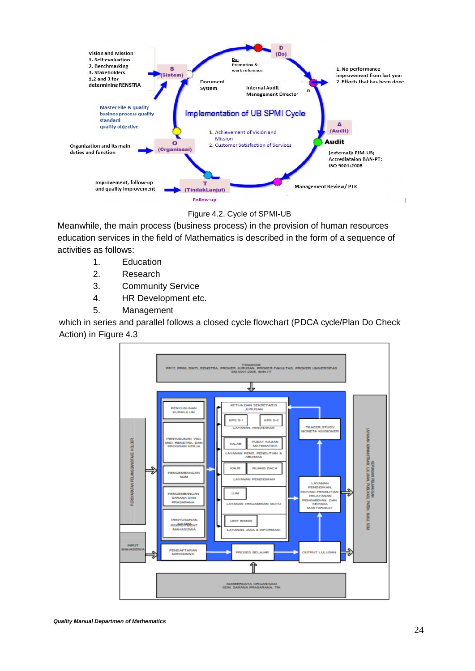

#### Figure 4.2. Cycle of SPMI-UB

Meanwhile, the main process (business process) in the provision of human resources education services in the field of Mathematics is described in the form of a sequence of activities as follows:

- 1. Education
- 2. Research
- 3. Community Service
- 4. HR Development etc.
- 5. Management

which in series and parallel follows a closed cycle flowchart (PDCA cycle/Plan Do Check Action) in Figure 4.3

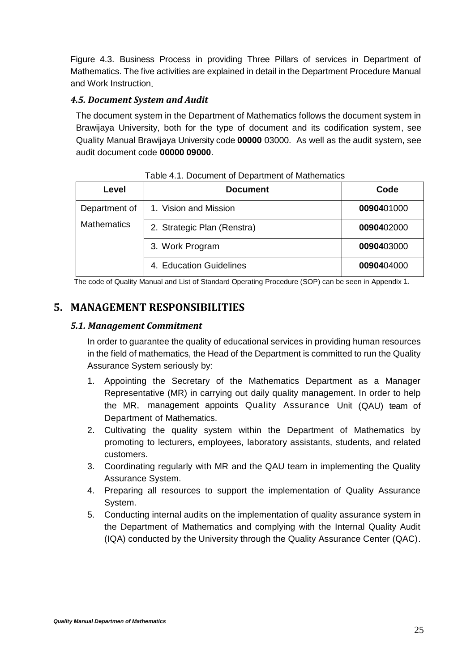Figure 4.3. Business Process in providing Three Pillars of services in Department of Mathematics. The five activities are explained in detail in the Department Procedure Manual and Work Instruction.

# <span id="page-28-0"></span>*4.5. Document System and Audit*

The document system in the Department of Mathematics follows the document system in Brawijaya University, both for the type of document and its codification system, see Quality Manual Brawijaya University code **00000** 03000. As well as the audit system, see audit document code **00000 09000**.

| Level              | <b>Document</b>             | Code       |
|--------------------|-----------------------------|------------|
| Department of      | 1. Vision and Mission       | 0090401000 |
| <b>Mathematics</b> | 2. Strategic Plan (Renstra) | 0090402000 |
|                    | 3. Work Program             | 0090403000 |
|                    | 4. Education Guidelines     | 0090404000 |

Table 4.1. Document of Department of Mathematics

The code of Quality Manual and List of Standard Operating Procedure (SOP) can be seen in Appendix 1.

# <span id="page-28-2"></span><span id="page-28-1"></span>**5. MANAGEMENT RESPONSIBILITIES**

#### *5.1. Management Commitment*

In order to guarantee the quality of educational services in providing human resources in the field of mathematics, the Head of the Department is committed to run the Quality Assurance System seriously by:

- 1. Appointing the Secretary of the Mathematics Department as a Manager Representative (MR) in carrying out daily quality management. In order to help the MR, management appoints Quality Assurance Unit (QAU) team of Department of Mathematics.
- 2. Cultivating the quality system within the Department of Mathematics by promoting to lecturers, employees, laboratory assistants, students, and related customers.
- 3. Coordinating regularly with MR and the QAU team in implementing the Quality Assurance System.
- 4. Preparing all resources to support the implementation of Quality Assurance System.
- 5. Conducting internal audits on the implementation of quality assurance system in the Department of Mathematics and complying with the Internal Quality Audit (IQA) conducted by the University through the Quality Assurance Center (QAC).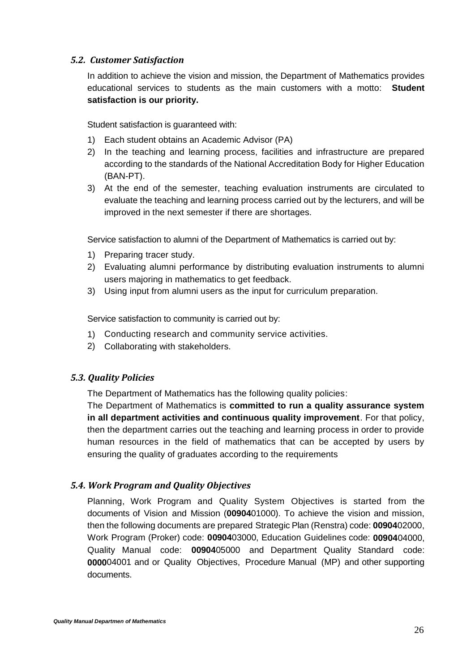#### <span id="page-29-0"></span>*5.2. Customer Satisfaction*

In addition to achieve the vision and mission, the Department of Mathematics provides educational services to students as the main customers with a motto: **Student satisfaction is our priority.**

Student satisfaction is guaranteed with:

- 1) Each student obtains an Academic Advisor (PA)
- 2) In the teaching and learning process, facilities and infrastructure are prepared according to the standards of the National Accreditation Body for Higher Education (BAN-PT).
- 3) At the end of the semester, teaching evaluation instruments are circulated to evaluate the teaching and learning process carried out by the lecturers, and will be improved in the next semester if there are shortages.

Service satisfaction to alumni of the Department of Mathematics is carried out by:

- 1) Preparing tracer study.
- 2) Evaluating alumni performance by distributing evaluation instruments to alumni users majoring in mathematics to get feedback.
- 3) Using input from alumni users as the input for curriculum preparation.

Service satisfaction to community is carried out by:

- 1) Conducting research and community service activities.
- 2) Collaborating with stakeholders.

#### <span id="page-29-1"></span>*5.3. Quality Policies*

The Department of Mathematics has the following quality policies:

The Department of Mathematics is **committed to run a quality assurance system in all department activities and continuous quality improvement**. For that policy, then the department carries out the teaching and learning process in order to provide human resources in the field of mathematics that can be accepted by users by ensuring the quality of graduates according to the requirements

# <span id="page-29-2"></span>*5.4. Work Program and Quality Objectives*

Planning, Work Program and Quality System Objectives is started from the documents of Vision and Mission (**00904**01000). To achieve the vision and mission, then the following documents are prepared Strategic Plan (Renstra) code: **00904**02000, Work Program (Proker) code: **00904**03000, Education Guidelines code: **00904**04000, Quality Manual code: **00904**05000 and Department Quality Standard code: **0000**04001 and or Quality Objectives, Procedure Manual (MP) and other supporting documents.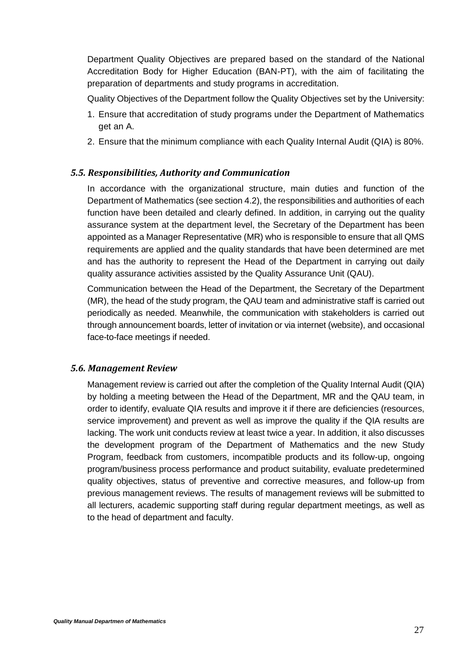Department Quality Objectives are prepared based on the standard of the National Accreditation Body for Higher Education (BAN-PT), with the aim of facilitating the preparation of departments and study programs in accreditation.

Quality Objectives of the Department follow the Quality Objectives set by the University:

- 1. Ensure that accreditation of study programs under the Department of Mathematics get an A.
- 2. Ensure that the minimum compliance with each Quality Internal Audit (QIA) is 80%.

#### <span id="page-30-0"></span>*5.5. Responsibilities, Authority and Communication*

In accordance with the organizational structure, main duties and function of the Department of Mathematics (see section 4.2), the responsibilities and authorities of each function have been detailed and clearly defined. In addition, in carrying out the quality assurance system at the department level, the Secretary of the Department has been appointed as a Manager Representative (MR) who is responsible to ensure that all QMS requirements are applied and the quality standards that have been determined are met and has the authority to represent the Head of the Department in carrying out daily quality assurance activities assisted by the Quality Assurance Unit (QAU).

Communication between the Head of the Department, the Secretary of the Department (MR), the head of the study program, the QAU team and administrative staff is carried out periodically as needed. Meanwhile, the communication with stakeholders is carried out through announcement boards, letter of invitation or via internet (website), and occasional face-to-face meetings if needed.

#### <span id="page-30-1"></span>*5.6. Management Review*

Management review is carried out after the completion of the Quality Internal Audit (QIA) by holding a meeting between the Head of the Department, MR and the QAU team, in order to identify, evaluate QIA results and improve it if there are deficiencies (resources, service improvement) and prevent as well as improve the quality if the QIA results are lacking. The work unit conducts review at least twice a year. In addition, it also discusses the development program of the Department of Mathematics and the new Study Program, feedback from customers, incompatible products and its follow-up, ongoing program/business process performance and product suitability, evaluate predetermined quality objectives, status of preventive and corrective measures, and follow-up from previous management reviews. The results of management reviews will be submitted to all lecturers, academic supporting staff during regular department meetings, as well as to the head of department and faculty.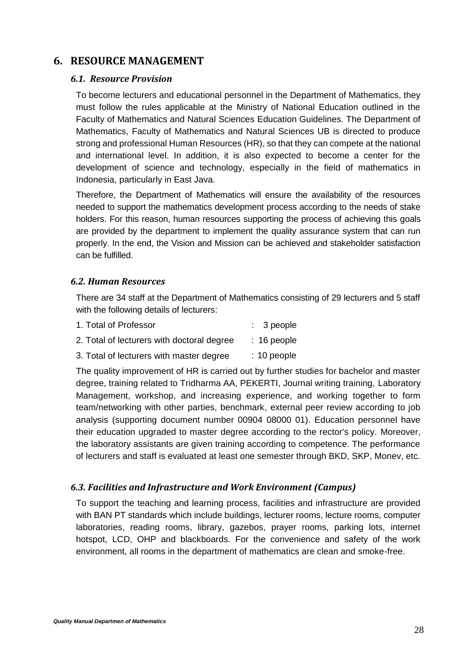# <span id="page-31-1"></span><span id="page-31-0"></span>**6. RESOURCE MANAGEMENT**

#### *6.1. Resource Provision*

To become lecturers and educational personnel in the Department of Mathematics, they must follow the rules applicable at the Ministry of National Education outlined in the Faculty of Mathematics and Natural Sciences Education Guidelines. The Department of Mathematics, Faculty of Mathematics and Natural Sciences UB is directed to produce strong and professional Human Resources (HR), so that they can compete at the national and international level. In addition, it is also expected to become a center for the development of science and technology, especially in the field of mathematics in Indonesia, particularly in East Java.

Therefore, the Department of Mathematics will ensure the availability of the resources needed to support the mathematics development process according to the needs of stake holders. For this reason, human resources supporting the process of achieving this goals are provided by the department to implement the quality assurance system that can run properly. In the end, the Vision and Mission can be achieved and stakeholder satisfaction can be fulfilled.

#### <span id="page-31-2"></span>*6.2. Human Resources*

There are 34 staff at the Department of Mathematics consisting of 29 lecturers and 5 staff with the following details of lecturers:

| 1. Total of Professor                      | $: 3$ people  |
|--------------------------------------------|---------------|
| 2. Total of lecturers with doctoral degree | $: 16$ people |
| 3. Total of lecturers with master degree   | $: 10$ people |

The quality improvement of HR is carried out by further studies for bachelor and master degree, training related to Tridharma AA, PEKERTI, Journal writing training, Laboratory Management, workshop, and increasing experience, and working together to form team/networking with other parties, benchmark, external peer review according to job analysis (supporting document number 00904 08000 01). Education personnel have their education upgraded to master degree according to the rector's policy. Moreover, the laboratory assistants are given training according to competence. The performance of lecturers and staff is evaluated at least one semester through BKD, SKP, Monev, etc.

# <span id="page-31-3"></span>*6.3. Facilities and Infrastructure and Work Environment (Campus)*

To support the teaching and learning process, facilities and infrastructure are provided with BAN PT standards which include buildings, lecturer rooms, lecture rooms, computer laboratories, reading rooms, library, gazebos, prayer rooms, parking lots, internet hotspot, LCD, OHP and blackboards. For the convenience and safety of the work environment, all rooms in the department of mathematics are clean and smoke-free.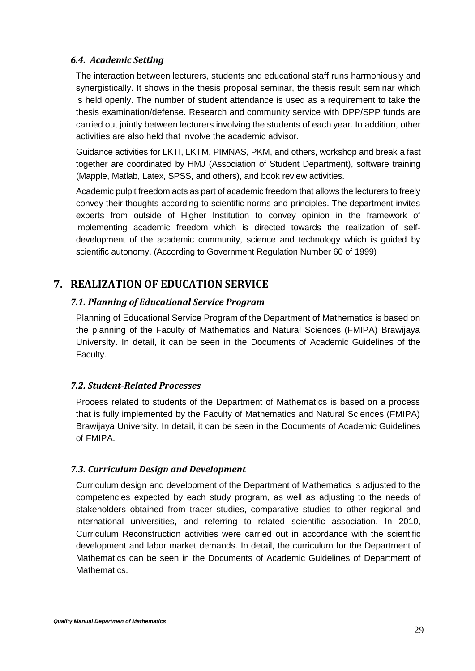#### <span id="page-32-0"></span>*6.4. Academic Setting*

The interaction between lecturers, students and educational staff runs harmoniously and synergistically. It shows in the thesis proposal seminar, the thesis result seminar which is held openly. The number of student attendance is used as a requirement to take the thesis examination/defense. Research and community service with DPP/SPP funds are carried out jointly between lecturers involving the students of each year. In addition, other activities are also held that involve the academic advisor.

Guidance activities for LKTI, LKTM, PIMNAS, PKM, and others, workshop and break a fast together are coordinated by HMJ (Association of Student Department), software training (Mapple, Matlab, Latex, SPSS, and others), and book review activities.

Academic pulpit freedom acts as part of academic freedom that allows the lecturers to freely convey their thoughts according to scientific norms and principles. The department invites experts from outside of Higher Institution to convey opinion in the framework of implementing academic freedom which is directed towards the realization of selfdevelopment of the academic community, science and technology which is guided by scientific autonomy. (According to Government Regulation Number 60 of 1999)

# <span id="page-32-2"></span><span id="page-32-1"></span>**7. REALIZATION OF EDUCATION SERVICE**

#### *7.1. Planning of Educational Service Program*

Planning of Educational Service Program of the Department of Mathematics is based on the planning of the Faculty of Mathematics and Natural Sciences (FMIPA) Brawijaya University. In detail, it can be seen in the Documents of Academic Guidelines of the Faculty.

#### <span id="page-32-3"></span>*7.2. Student-Related Processes*

Process related to students of the Department of Mathematics is based on a process that is fully implemented by the Faculty of Mathematics and Natural Sciences (FMIPA) Brawijaya University. In detail, it can be seen in the Documents of Academic Guidelines of FMIPA.

#### <span id="page-32-4"></span>*7.3. Curriculum Design and Development*

Curriculum design and development of the Department of Mathematics is adjusted to the competencies expected by each study program, as well as adjusting to the needs of stakeholders obtained from tracer studies, comparative studies to other regional and international universities, and referring to related scientific association. In 2010, Curriculum Reconstruction activities were carried out in accordance with the scientific development and labor market demands. In detail, the curriculum for the Department of Mathematics can be seen in the Documents of Academic Guidelines of Department of Mathematics.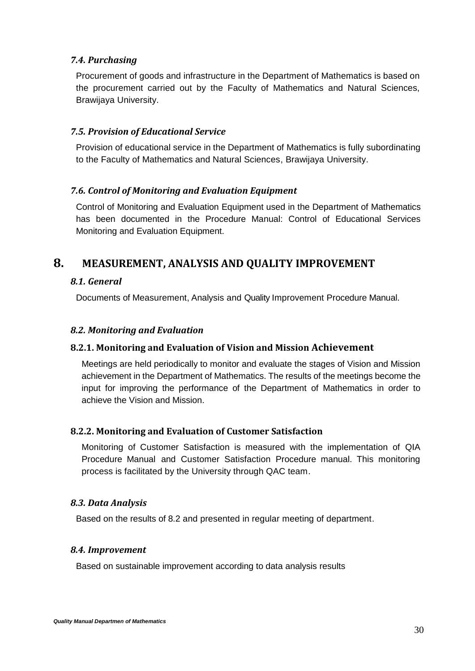#### <span id="page-33-0"></span>*7.4. Purchasing*

Procurement of goods and infrastructure in the Department of Mathematics is based on the procurement carried out by the Faculty of Mathematics and Natural Sciences, Brawijaya University.

#### <span id="page-33-1"></span>*7.5. Provision of Educational Service*

Provision of educational service in the Department of Mathematics is fully subordinating to the Faculty of Mathematics and Natural Sciences, Brawijaya University.

#### <span id="page-33-2"></span>*7.6. Control of Monitoring and Evaluation Equipment*

Control of Monitoring and Evaluation Equipment used in the Department of Mathematics has been documented in the Procedure Manual: Control of Educational Services Monitoring and Evaluation Equipment.

# <span id="page-33-4"></span><span id="page-33-3"></span>**8. MEASUREMENT, ANALYSIS AND QUALITY IMPROVEMENT**

#### *8.1. General*

Documents of Measurement, Analysis and Quality Improvement Procedure Manual.

#### <span id="page-33-5"></span>*8.2. Monitoring and Evaluation*

#### <span id="page-33-6"></span>**8.2.1. Monitoring and Evaluation of Vision and Mission Achievement**

Meetings are held periodically to monitor and evaluate the stages of Vision and Mission achievement in the Department of Mathematics. The results of the meetings become the input for improving the performance of the Department of Mathematics in order to achieve the Vision and Mission.

#### <span id="page-33-7"></span>**8.2.2. Monitoring and Evaluation of Customer Satisfaction**

Monitoring of Customer Satisfaction is measured with the implementation of QIA Procedure Manual and Customer Satisfaction Procedure manual. This monitoring process is facilitated by the University through QAC team.

#### <span id="page-33-8"></span>*8.3. Data Analysis*

Based on the results of 8.2 and presented in regular meeting of department.

#### <span id="page-33-9"></span>*8.4. Improvement*

Based on sustainable improvement according to data analysis results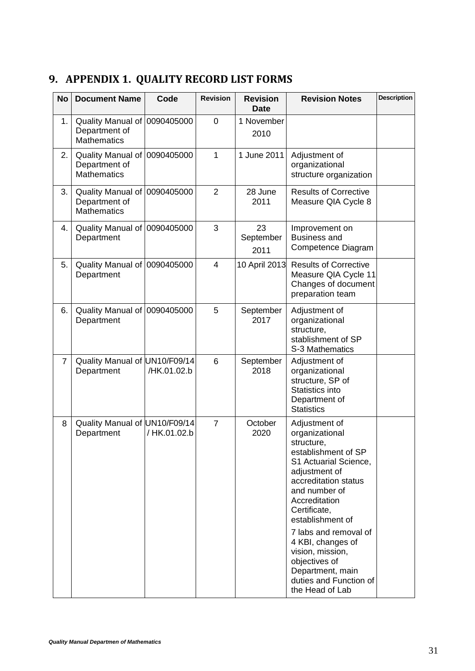# <span id="page-34-0"></span>**9. APPENDIX 1. QUALITY RECORD LIST FORMS**

| <b>No</b>      | <b>Document Name</b>                                                | Code         | <b>Revision</b> | <b>Revision</b><br><b>Date</b> | <b>Revision Notes</b>                                                                                                                                                                                                                                                                                                                                            | <b>Description</b> |
|----------------|---------------------------------------------------------------------|--------------|-----------------|--------------------------------|------------------------------------------------------------------------------------------------------------------------------------------------------------------------------------------------------------------------------------------------------------------------------------------------------------------------------------------------------------------|--------------------|
| 1.             | Quality Manual of<br>Department of<br><b>Mathematics</b>            | 0090405000   | $\mathbf 0$     | 1 November<br>2010             |                                                                                                                                                                                                                                                                                                                                                                  |                    |
| 2.             | Quality Manual of 0090405000<br>Department of<br><b>Mathematics</b> |              | 1               | 1 June 2011                    | Adjustment of<br>organizational<br>structure organization                                                                                                                                                                                                                                                                                                        |                    |
| 3.             | Quality Manual of 0090405000<br>Department of<br><b>Mathematics</b> |              | $\overline{2}$  | 28 June<br>2011                | <b>Results of Corrective</b><br>Measure QIA Cycle 8                                                                                                                                                                                                                                                                                                              |                    |
| 4.             | Quality Manual of 0090405000<br>Department                          |              | 3               | 23<br>September<br>2011        | Improvement on<br><b>Business and</b><br>Competence Diagram                                                                                                                                                                                                                                                                                                      |                    |
| 5.             | Quality Manual of 0090405000<br>Department                          |              | $\overline{4}$  | 10 April 2013                  | <b>Results of Corrective</b><br>Measure QIA Cycle 11<br>Changes of document<br>preparation team                                                                                                                                                                                                                                                                  |                    |
| 6.             | Quality Manual of 0090405000<br>Department                          |              | 5               | September<br>2017              | Adjustment of<br>organizational<br>structure,<br>stablishment of SP<br>S-3 Mathematics                                                                                                                                                                                                                                                                           |                    |
| $\overline{7}$ | Quality Manual of UN10/F09/14<br>Department                         | /HK.01.02.b  | 6               | September<br>2018              | Adjustment of<br>organizational<br>structure, SP of<br>Statistics into<br>Department of<br><b>Statistics</b>                                                                                                                                                                                                                                                     |                    |
| 8              | Quality Manual of UN10/F09/14<br>Department                         | / HK.01.02.b | $\overline{7}$  | October<br>2020                | Adjustment of<br>organizational<br>structure,<br>establishment of SP<br>S1 Actuarial Science,<br>adjustment of<br>accreditation status<br>and number of<br>Accreditation<br>Certificate,<br>establishment of<br>7 labs and removal of<br>4 KBI, changes of<br>vision, mission,<br>objectives of<br>Department, main<br>duties and Function of<br>the Head of Lab |                    |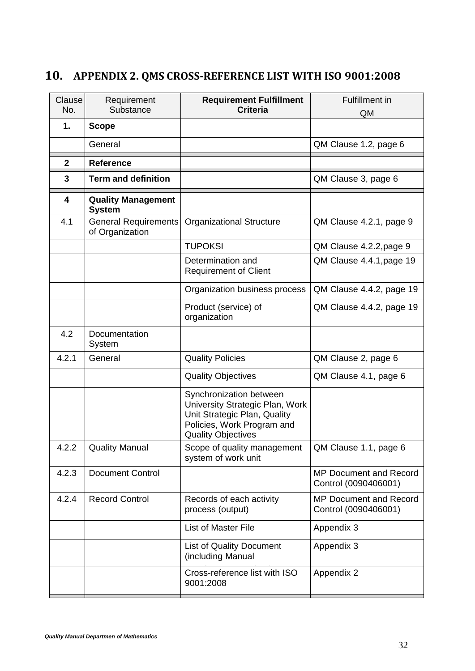# <span id="page-35-0"></span>**10. APPENDIX 2. QMS CROSS-REFERENCE LIST WITH ISO 9001:2008**

| Clause<br>No. | Requirement<br>Substance                       | <b>Requirement Fulfillment</b><br><b>Criteria</b>                                                                                                     | <b>Fulfillment in</b><br>QM                           |
|---------------|------------------------------------------------|-------------------------------------------------------------------------------------------------------------------------------------------------------|-------------------------------------------------------|
| 1.            | <b>Scope</b>                                   |                                                                                                                                                       |                                                       |
|               | General                                        |                                                                                                                                                       | QM Clause 1.2, page 6                                 |
| $\mathbf{2}$  | <b>Reference</b>                               |                                                                                                                                                       |                                                       |
| 3             | <b>Term and definition</b>                     |                                                                                                                                                       | QM Clause 3, page 6                                   |
| 4             | <b>Quality Management</b><br><b>System</b>     |                                                                                                                                                       |                                                       |
| 4.1           | <b>General Requirements</b><br>of Organization | <b>Organizational Structure</b>                                                                                                                       | QM Clause 4.2.1, page 9                               |
|               |                                                | <b>TUPOKSI</b>                                                                                                                                        | QM Clause 4.2.2, page 9                               |
|               |                                                | Determination and<br><b>Requirement of Client</b>                                                                                                     | QM Clause 4.4.1, page 19                              |
|               |                                                | Organization business process                                                                                                                         | QM Clause 4.4.2, page 19                              |
|               |                                                | Product (service) of<br>organization                                                                                                                  | QM Clause 4.4.2, page 19                              |
| 4.2           | Documentation<br>System                        |                                                                                                                                                       |                                                       |
| 4.2.1         | General                                        | <b>Quality Policies</b>                                                                                                                               | QM Clause 2, page 6                                   |
|               |                                                | <b>Quality Objectives</b>                                                                                                                             | QM Clause 4.1, page 6                                 |
|               |                                                | Synchronization between<br>University Strategic Plan, Work<br>Unit Strategic Plan, Quality<br>Policies, Work Program and<br><b>Quality Objectives</b> |                                                       |
| 4.2.2         | <b>Quality Manual</b>                          | Scope of quality management<br>system of work unit                                                                                                    | QM Clause 1.1, page 6                                 |
| 4.2.3         | <b>Document Control</b>                        |                                                                                                                                                       | <b>MP Document and Record</b><br>Control (0090406001) |
| 4.2.4         | <b>Record Control</b>                          | Records of each activity<br>process (output)                                                                                                          | <b>MP Document and Record</b><br>Control (0090406001) |
|               |                                                | List of Master File                                                                                                                                   | Appendix 3                                            |
|               |                                                | <b>List of Quality Document</b><br>(including Manual                                                                                                  | Appendix 3                                            |
|               |                                                | Cross-reference list with ISO<br>9001:2008                                                                                                            | Appendix 2                                            |
|               |                                                |                                                                                                                                                       |                                                       |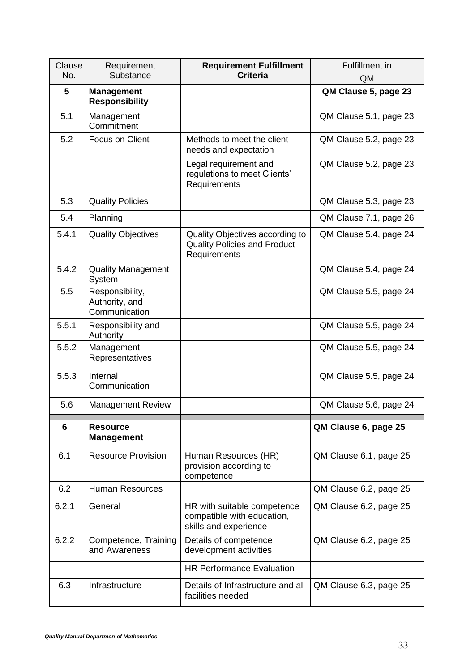| Clause<br>No. | Requirement<br>Substance                           | <b>Requirement Fulfillment</b><br><b>Criteria</b>                                      | <b>Fulfillment in</b><br>QM |
|---------------|----------------------------------------------------|----------------------------------------------------------------------------------------|-----------------------------|
| 5             | <b>Management</b><br><b>Responsibility</b>         |                                                                                        | QM Clause 5, page 23        |
| 5.1           | Management<br>Commitment                           |                                                                                        | QM Clause 5.1, page 23      |
| 5.2           | Focus on Client                                    | Methods to meet the client<br>needs and expectation                                    | QM Clause 5.2, page 23      |
|               |                                                    | Legal requirement and<br>regulations to meet Clients'<br>Requirements                  | QM Clause 5.2, page 23      |
| 5.3           | <b>Quality Policies</b>                            |                                                                                        | QM Clause 5.3, page 23      |
| 5.4           | Planning                                           |                                                                                        | QM Clause 7.1, page 26      |
| 5.4.1         | <b>Quality Objectives</b>                          | Quality Objectives according to<br><b>Quality Policies and Product</b><br>Requirements | QM Clause 5.4, page 24      |
| 5.4.2         | <b>Quality Management</b><br>System                |                                                                                        | QM Clause 5.4, page 24      |
| 5.5           | Responsibility,<br>Authority, and<br>Communication |                                                                                        | QM Clause 5.5, page 24      |
| 5.5.1         | Responsibility and<br>Authority                    |                                                                                        | QM Clause 5.5, page 24      |
| 5.5.2         | Management<br>Representatives                      |                                                                                        | QM Clause 5.5, page 24      |
| 5.5.3         | Internal<br>Communication                          |                                                                                        | QM Clause 5.5, page 24      |
| 5.6           | <b>Management Review</b>                           |                                                                                        | QM Clause 5.6, page 24      |
| 6             | <b>Resource</b><br><b>Management</b>               |                                                                                        | QM Clause 6, page 25        |
| 6.1           | <b>Resource Provision</b>                          | Human Resources (HR)<br>provision according to<br>competence                           | QM Clause 6.1, page 25      |
| 6.2           | <b>Human Resources</b>                             |                                                                                        | QM Clause 6.2, page 25      |
| 6.2.1         | General                                            | HR with suitable competence<br>compatible with education,<br>skills and experience     | QM Clause 6.2, page 25      |
| 6.2.2         | Competence, Training<br>and Awareness              | Details of competence<br>development activities                                        | QM Clause 6.2, page 25      |
|               |                                                    | <b>HR Performance Evaluation</b>                                                       |                             |
| 6.3           | Infrastructure                                     | Details of Infrastructure and all<br>facilities needed                                 | QM Clause 6.3, page 25      |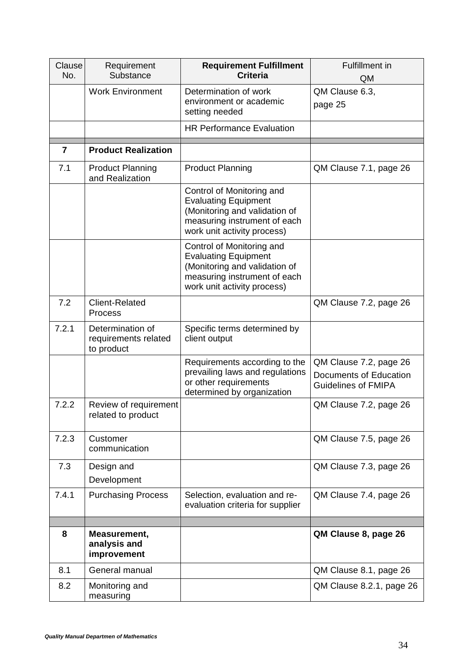| Clause<br>No.  | Requirement<br>Substance                               | <b>Requirement Fulfillment</b><br><b>Criteria</b>                                                                                                        | <b>Fulfillment</b> in<br>QM                                                    |
|----------------|--------------------------------------------------------|----------------------------------------------------------------------------------------------------------------------------------------------------------|--------------------------------------------------------------------------------|
|                | <b>Work Environment</b>                                | Determination of work<br>environment or academic<br>setting needed                                                                                       | QM Clause 6.3,<br>page 25                                                      |
|                |                                                        | <b>HR Performance Evaluation</b>                                                                                                                         |                                                                                |
| $\overline{7}$ | <b>Product Realization</b>                             |                                                                                                                                                          |                                                                                |
| 7.1            | <b>Product Planning</b><br>and Realization             | <b>Product Planning</b>                                                                                                                                  | QM Clause 7.1, page 26                                                         |
|                |                                                        | Control of Monitoring and<br><b>Evaluating Equipment</b><br>(Monitoring and validation of<br>measuring instrument of each<br>work unit activity process) |                                                                                |
|                |                                                        | Control of Monitoring and<br><b>Evaluating Equipment</b><br>(Monitoring and validation of<br>measuring instrument of each<br>work unit activity process) |                                                                                |
| 7.2            | <b>Client-Related</b><br>Process                       |                                                                                                                                                          | QM Clause 7.2, page 26                                                         |
| 7.2.1          | Determination of<br>requirements related<br>to product | Specific terms determined by<br>client output                                                                                                            |                                                                                |
|                |                                                        | Requirements according to the<br>prevailing laws and regulations<br>or other requirements<br>determined by organization                                  | QM Clause 7.2, page 26<br>Documents of Education<br><b>Guidelines of FMIPA</b> |
| 7.2.2          | Review of requirement<br>related to product            |                                                                                                                                                          | QM Clause 7.2, page 26                                                         |
| 7.2.3          | Customer<br>communication                              |                                                                                                                                                          | QM Clause 7.5, page 26                                                         |
| 7.3            | Design and<br>Development                              |                                                                                                                                                          | QM Clause 7.3, page 26                                                         |
| 7.4.1          | <b>Purchasing Process</b>                              | Selection, evaluation and re-<br>evaluation criteria for supplier                                                                                        | QM Clause 7.4, page 26                                                         |
|                |                                                        |                                                                                                                                                          |                                                                                |
| 8              | Measurement,<br>analysis and<br>improvement            |                                                                                                                                                          | QM Clause 8, page 26                                                           |
| 8.1            | General manual                                         |                                                                                                                                                          | QM Clause 8.1, page 26                                                         |
| 8.2            | Monitoring and<br>measuring                            |                                                                                                                                                          | QM Clause 8.2.1, page 26                                                       |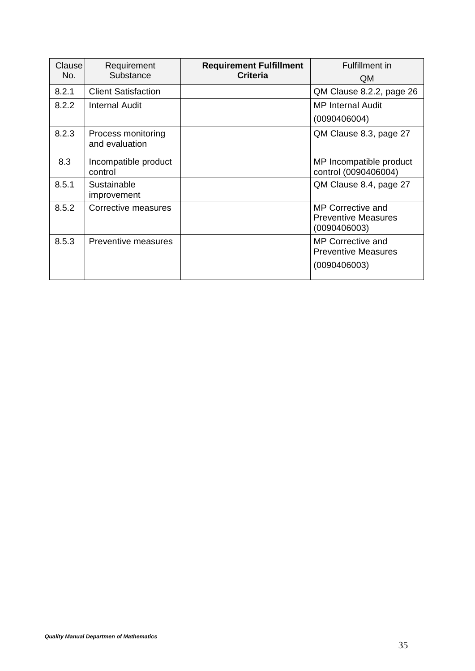| Clause<br>No. | Requirement<br>Substance             | <b>Requirement Fulfillment</b><br><b>Criteria</b> | Fulfillment in<br>QM.                                                  |
|---------------|--------------------------------------|---------------------------------------------------|------------------------------------------------------------------------|
| 8.2.1         | <b>Client Satisfaction</b>           |                                                   | QM Clause 8.2.2, page 26                                               |
| 8.2.2         | Internal Audit                       |                                                   | <b>MP Internal Audit</b><br>(0090406004)                               |
| 8.2.3         | Process monitoring<br>and evaluation |                                                   | QM Clause 8.3, page 27                                                 |
| 8.3           | Incompatible product<br>control      |                                                   | MP Incompatible product<br>control (0090406004)                        |
| 8.5.1         | Sustainable<br>improvement           |                                                   | QM Clause 8.4, page 27                                                 |
| 8.5.2         | Corrective measures                  |                                                   | <b>MP Corrective and</b><br><b>Preventive Measures</b><br>(0090406003) |
| 8.5.3         | Preventive measures                  |                                                   | <b>MP Corrective and</b><br><b>Preventive Measures</b><br>(0090406003) |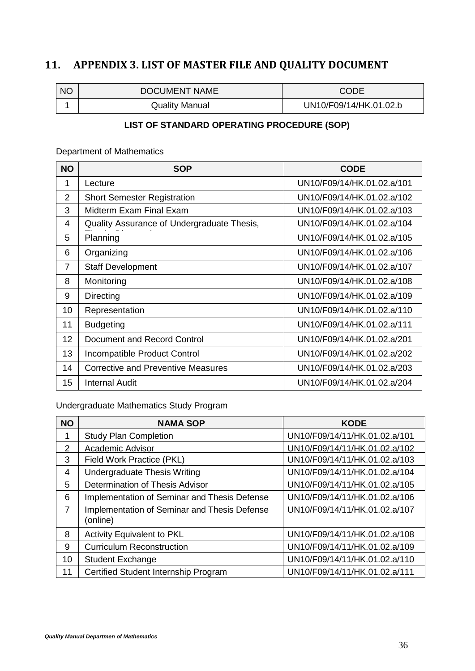# <span id="page-39-0"></span>**11. APPENDIX 3. LIST OF MASTER FILE AND QUALITY DOCUMENT**

| <b>NO</b> | DOCUMENT NAME         | CODE                   |
|-----------|-----------------------|------------------------|
|           | <b>Quality Manual</b> | UN10/F09/14/HK.01.02.b |

# **LIST OF STANDARD OPERATING PROCEDURE (SOP)**

Department of Mathematics

| <b>NO</b>      | <b>SOP</b>                                 | <b>CODE</b>                |
|----------------|--------------------------------------------|----------------------------|
| 1              | Lecture                                    | UN10/F09/14/HK.01.02.a/101 |
| $\overline{2}$ | <b>Short Semester Registration</b>         | UN10/F09/14/HK.01.02.a/102 |
| 3              | Midterm Exam Final Exam                    | UN10/F09/14/HK.01.02.a/103 |
| 4              | Quality Assurance of Undergraduate Thesis, | UN10/F09/14/HK.01.02.a/104 |
| 5              | Planning                                   | UN10/F09/14/HK.01.02.a/105 |
| 6              | Organizing                                 | UN10/F09/14/HK.01.02.a/106 |
| $\overline{7}$ | <b>Staff Development</b>                   | UN10/F09/14/HK.01.02.a/107 |
| 8              | Monitoring                                 | UN10/F09/14/HK.01.02.a/108 |
| 9              | Directing                                  | UN10/F09/14/HK.01.02.a/109 |
| 10             | Representation                             | UN10/F09/14/HK.01.02.a/110 |
| 11             | <b>Budgeting</b>                           | UN10/F09/14/HK.01.02.a/111 |
| 12             | Document and Record Control                | UN10/F09/14/HK.01.02.a/201 |
| 13             | Incompatible Product Control               | UN10/F09/14/HK.01.02.a/202 |
| 14             | Corrective and Preventive Measures         | UN10/F09/14/HK.01.02.a/203 |
| 15             | Internal Audit                             | UN10/F09/14/HK.01.02.a/204 |

Undergraduate Mathematics Study Program

| <b>NO</b> | <b>NAMA SOP</b>                                          | <b>KODE</b>                   |
|-----------|----------------------------------------------------------|-------------------------------|
| 1         | <b>Study Plan Completion</b>                             | UN10/F09/14/11/HK.01.02.a/101 |
| 2         | <b>Academic Advisor</b>                                  | UN10/F09/14/11/HK.01.02.a/102 |
| 3         | Field Work Practice (PKL)                                | UN10/F09/14/11/HK.01.02.a/103 |
| 4         | Undergraduate Thesis Writing                             | UN10/F09/14/11/HK.01.02.a/104 |
| 5         | Determination of Thesis Advisor                          | UN10/F09/14/11/HK.01.02.a/105 |
| 6         | Implementation of Seminar and Thesis Defense             | UN10/F09/14/11/HK.01.02.a/106 |
| 7         | Implementation of Seminar and Thesis Defense<br>(online) | UN10/F09/14/11/HK.01.02.a/107 |
| 8         | Activity Equivalent to PKL                               | UN10/F09/14/11/HK.01.02.a/108 |
| 9         | <b>Curriculum Reconstruction</b>                         | UN10/F09/14/11/HK.01.02.a/109 |
| 10        | <b>Student Exchange</b>                                  | UN10/F09/14/11/HK.01.02.a/110 |
| 11        | Certified Student Internship Program                     | UN10/F09/14/11/HK.01.02.a/111 |